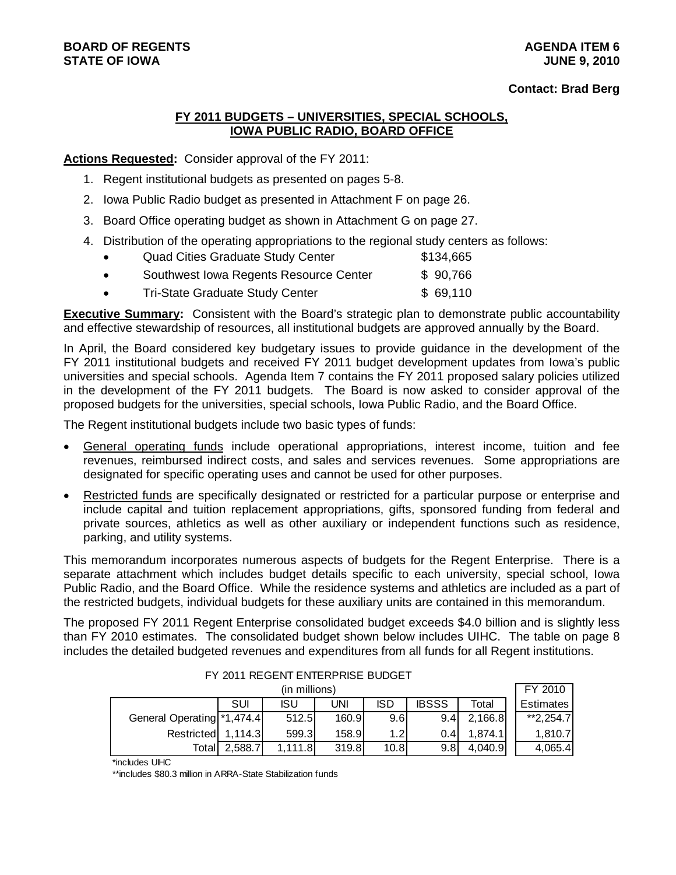# **BOARD OF REGENTS AGENTS** AGENDA ITEM 6 **STATE OF IOWA JUNE 9, 2010**

### **Contact: Brad Berg**

# **FY 2011 BUDGETS – UNIVERSITIES, SPECIAL SCHOOLS, IOWA PUBLIC RADIO, BOARD OFFICE**

**Actions Requested:** Consider approval of the FY 2011:

- 1. Regent institutional budgets as presented on pages 5-8.
- 2. Iowa Public Radio budget as presented in Attachment F on page 26.
- 3. Board Office operating budget as shown in Attachment G on page 27.
- 4. Distribution of the operating appropriations to the regional study centers as follows:

| $\bullet$ | <b>Quad Cities Graduate Study Center</b> | \$134,665 |
|-----------|------------------------------------------|-----------|
| $\bullet$ | Southwest Iowa Regents Resource Center   | \$90,766  |
| $\bullet$ | <b>Tri-State Graduate Study Center</b>   | \$69,110  |

**Executive Summary:** Consistent with the Board's strategic plan to demonstrate public accountability and effective stewardship of resources, all institutional budgets are approved annually by the Board.

In April, the Board considered key budgetary issues to provide guidance in the development of the FY 2011 institutional budgets and received FY 2011 budget development updates from Iowa's public universities and special schools. Agenda Item 7 contains the FY 2011 proposed salary policies utilized in the development of the FY 2011 budgets. The Board is now asked to consider approval of the proposed budgets for the universities, special schools, Iowa Public Radio, and the Board Office.

The Regent institutional budgets include two basic types of funds:

- General operating funds include operational appropriations, interest income, tuition and fee revenues, reimbursed indirect costs, and sales and services revenues. Some appropriations are designated for specific operating uses and cannot be used for other purposes.
- Restricted funds are specifically designated or restricted for a particular purpose or enterprise and include capital and tuition replacement appropriations, gifts, sponsored funding from federal and private sources, athletics as well as other auxiliary or independent functions such as residence, parking, and utility systems.

This memorandum incorporates numerous aspects of budgets for the Regent Enterprise. There is a separate attachment which includes budget details specific to each university, special school, Iowa Public Radio, and the Board Office. While the residence systems and athletics are included as a part of the restricted budgets, individual budgets for these auxiliary units are contained in this memorandum.

The proposed FY 2011 Regent Enterprise consolidated budget exceeds \$4.0 billion and is slightly less than FY 2010 estimates. The consolidated budget shown below includes UIHC. The table on page 8 includes the detailed budgeted revenues and expenditures from all funds for all Regent institutions.

|                            |         | (in millions) |       |                  |              |         | FY 2010          |
|----------------------------|---------|---------------|-------|------------------|--------------|---------|------------------|
|                            | SUI     | <b>ISU</b>    | uni   | <b>ISD</b>       | <b>IBSSS</b> | Total   | <b>Estimates</b> |
| General Operating *1,474.4 |         | 512.5         | 160.9 | 9.6              | 9.4          | 2,166.8 | $*2.254.7$       |
| Restricted                 | 1.114.3 | 599.3         | 158.9 | 1.2 <sub>l</sub> | 0.4          | 1.874.1 | 1.810.7          |
| Totall                     | 2.588.7 | 1,111.8       | 319.8 | 10.8             | 9.8          | 4.040.9 | 4,065.4          |

FY 2011 REGENT ENTERPRISE BUDGET

\*includes UIHC

\*\*includes \$80.3 million in ARRA-State Stabilization funds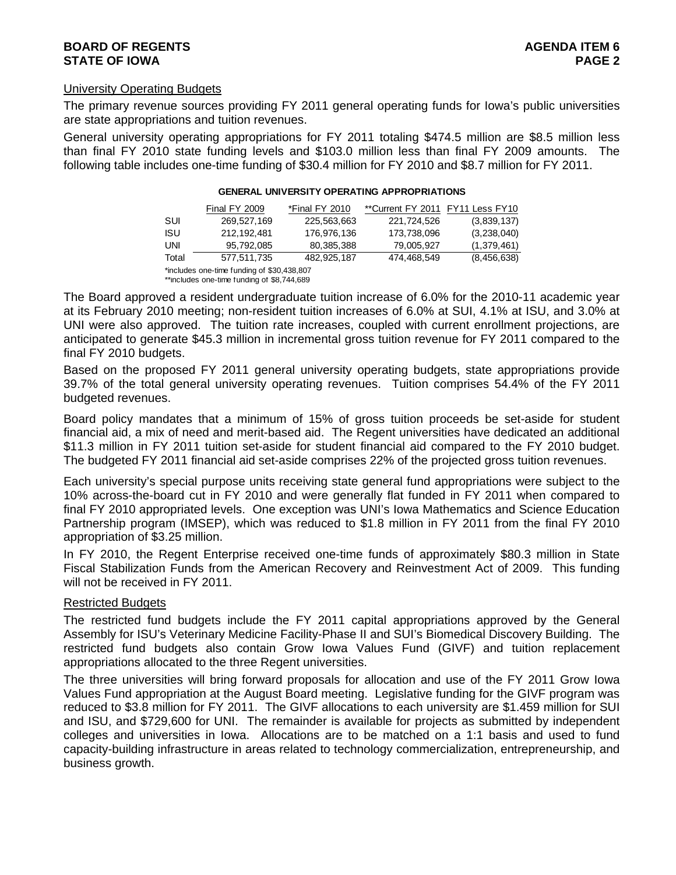# University Operating Budgets

The primary revenue sources providing FY 2011 general operating funds for Iowa's public universities are state appropriations and tuition revenues.

General university operating appropriations for FY 2011 totaling \$474.5 million are \$8.5 million less than final FY 2010 state funding levels and \$103.0 million less than final FY 2009 amounts. The following table includes one-time funding of \$30.4 million for FY 2010 and \$8.7 million for FY 2011.

|            | <b>Final FY 2009</b>                       | *Final FY 2010 | **Current FY 2011 FY11 Less FY10 |               |
|------------|--------------------------------------------|----------------|----------------------------------|---------------|
| SUI        | 269,527,169                                | 225,563,663    | 221,724,526                      | (3,839,137)   |
| <b>ISU</b> | 212.192.481                                | 176.976.136    | 173,738,096                      | (3,238,040)   |
| UNI        | 95.792.085                                 | 80,385,388     | 79,005,927                       | (1,379,461)   |
| Total      | 577,511,735                                | 482.925.187    | 474,468,549                      | (8, 456, 638) |
|            | *includes one-time funding of \$30,438,807 |                |                                  |               |

#### **GENERAL UNIVERSITY OPERATING APPROPRIATIONS**

\*\*includes one-time funding of \$8,744,689

The Board approved a resident undergraduate tuition increase of 6.0% for the 2010-11 academic year at its February 2010 meeting; non-resident tuition increases of 6.0% at SUI, 4.1% at ISU, and 3.0% at UNI were also approved. The tuition rate increases, coupled with current enrollment projections, are anticipated to generate \$45.3 million in incremental gross tuition revenue for FY 2011 compared to the final FY 2010 budgets.

Based on the proposed FY 2011 general university operating budgets, state appropriations provide 39.7% of the total general university operating revenues. Tuition comprises 54.4% of the FY 2011 budgeted revenues.

Board policy mandates that a minimum of 15% of gross tuition proceeds be set-aside for student financial aid, a mix of need and merit-based aid. The Regent universities have dedicated an additional \$11.3 million in FY 2011 tuition set-aside for student financial aid compared to the FY 2010 budget. The budgeted FY 2011 financial aid set-aside comprises 22% of the projected gross tuition revenues.

Each university's special purpose units receiving state general fund appropriations were subject to the 10% across-the-board cut in FY 2010 and were generally flat funded in FY 2011 when compared to final FY 2010 appropriated levels. One exception was UNI's Iowa Mathematics and Science Education Partnership program (IMSEP), which was reduced to \$1.8 million in FY 2011 from the final FY 2010 appropriation of \$3.25 million.

In FY 2010, the Regent Enterprise received one-time funds of approximately \$80.3 million in State Fiscal Stabilization Funds from the American Recovery and Reinvestment Act of 2009. This funding will not be received in FY 2011.

# Restricted Budgets

The restricted fund budgets include the FY 2011 capital appropriations approved by the General Assembly for ISU's Veterinary Medicine Facility-Phase II and SUI's Biomedical Discovery Building. The restricted fund budgets also contain Grow Iowa Values Fund (GIVF) and tuition replacement appropriations allocated to the three Regent universities.

The three universities will bring forward proposals for allocation and use of the FY 2011 Grow Iowa Values Fund appropriation at the August Board meeting. Legislative funding for the GIVF program was reduced to \$3.8 million for FY 2011. The GIVF allocations to each university are \$1.459 million for SUI and ISU, and \$729,600 for UNI. The remainder is available for projects as submitted by independent colleges and universities in Iowa. Allocations are to be matched on a 1:1 basis and used to fund capacity-building infrastructure in areas related to technology commercialization, entrepreneurship, and business growth.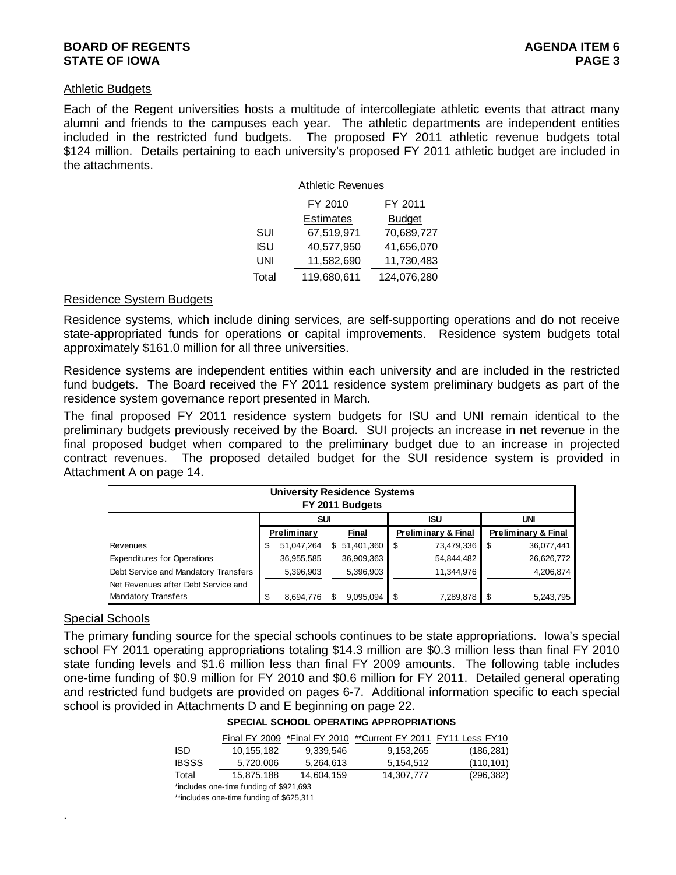# **BOARD OF REGENTS** AGENERATION OF REGENTS AGENERATION OF REGENTS AGENERATION OF REGENTS AGENERATION OF REGENTS AGENERATION OF REGENTS AGENERATION OF REGENTS AGENERATION OF REGENTS AGENERATION OF REGENTS AGENERATION OF REGE **STATE OF IOWA** PAGE 3

### Athletic Budgets

Each of the Regent universities hosts a multitude of intercollegiate athletic events that attract many alumni and friends to the campuses each year. The athletic departments are independent entities included in the restricted fund budgets. The proposed FY 2011 athletic revenue budgets total \$124 million. Details pertaining to each university's proposed FY 2011 athletic budget are included in the attachments.

|            | <b>Athletic Revenues</b> |               |
|------------|--------------------------|---------------|
|            | FY 2010                  | FY 2011       |
|            | <b>Estimates</b>         | <b>Budget</b> |
| SUI        | 67,519,971               | 70,689,727    |
| <b>ISU</b> | 40,577,950               | 41,656,070    |
| UNI        | 11,582,690               | 11,730,483    |
| Total      | 119,680,611              | 124,076,280   |

#### Residence System Budgets

Residence systems, which include dining services, are self-supporting operations and do not receive state-appropriated funds for operations or capital improvements. Residence system budgets total approximately \$161.0 million for all three universities.

Residence systems are independent entities within each university and are included in the restricted fund budgets. The Board received the FY 2011 residence system preliminary budgets as part of the residence system governance report presented in March.

The final proposed FY 2011 residence system budgets for ISU and UNI remain identical to the preliminary budgets previously received by the Board. SUI projects an increase in net revenue in the final proposed budget when compared to the preliminary budget due to an increase in projected contract revenues. The proposed detailed budget for the SUI residence system is provided in Attachment A on page 14.

|                                      |   | <b>University Residence Systems</b> |    | FY 2011 Budgets |    |                                |     |                                |
|--------------------------------------|---|-------------------------------------|----|-----------------|----|--------------------------------|-----|--------------------------------|
|                                      |   | SUI                                 |    |                 |    | <b>ISU</b>                     |     | <b>UNI</b>                     |
|                                      |   | Preliminary                         |    | Final           |    | <b>Preliminary &amp; Final</b> |     | <b>Preliminary &amp; Final</b> |
| Revenues                             | S | 51,047,264                          | S. | 51,401,360      | S  | 73,479,336                     | \$. | 36,077,441                     |
| <b>Expenditures for Operations</b>   |   | 36,955,585                          |    | 36,909,363      |    | 54,844,482                     |     | 26,626,772                     |
| Debt Service and Mandatory Transfers |   | 5,396,903                           |    | 5,396,903       |    | 11,344,976                     |     | 4,206,874                      |
| Net Revenues after Debt Service and  |   |                                     |    |                 |    |                                |     |                                |
| <b>Mandatory Transfers</b>           | S | 8.694.776                           |    | 9.095.094       | \$ | 7,289,878                      |     | 5,243,795                      |

# Special Schools

.

The primary funding source for the special schools continues to be state appropriations. Iowa's special school FY 2011 operating appropriations totaling \$14.3 million are \$0.3 million less than final FY 2010 state funding levels and \$1.6 million less than final FY 2009 amounts. The following table includes one-time funding of \$0.9 million for FY 2010 and \$0.6 million for FY 2011. Detailed general operating and restricted fund budgets are provided on pages 6-7. Additional information specific to each special school is provided in Attachments D and E beginning on page 22.

|  | <b>SPECIAL SCHOOL OPERATING APPROPRIATIONS</b> |
|--|------------------------------------------------|
|  |                                                |

|              |            |            | Final FY 2009 *Final FY 2010 **Current FY 2011 FY11 Less FY10 |            |
|--------------|------------|------------|---------------------------------------------------------------|------------|
| ISD          | 10.155.182 | 9.339.546  | 9.153.265                                                     | (186, 281) |
| <b>IBSSS</b> | 5.720.006  | 5.264.613  | 5.154.512                                                     | (110, 101) |
| Total        | 15.875.188 | 14.604.159 | 14.307.777                                                    | (296, 382) |

<sup>\*</sup>includes one-time funding of \$921,693 \*\*includes one-time funding of \$625,311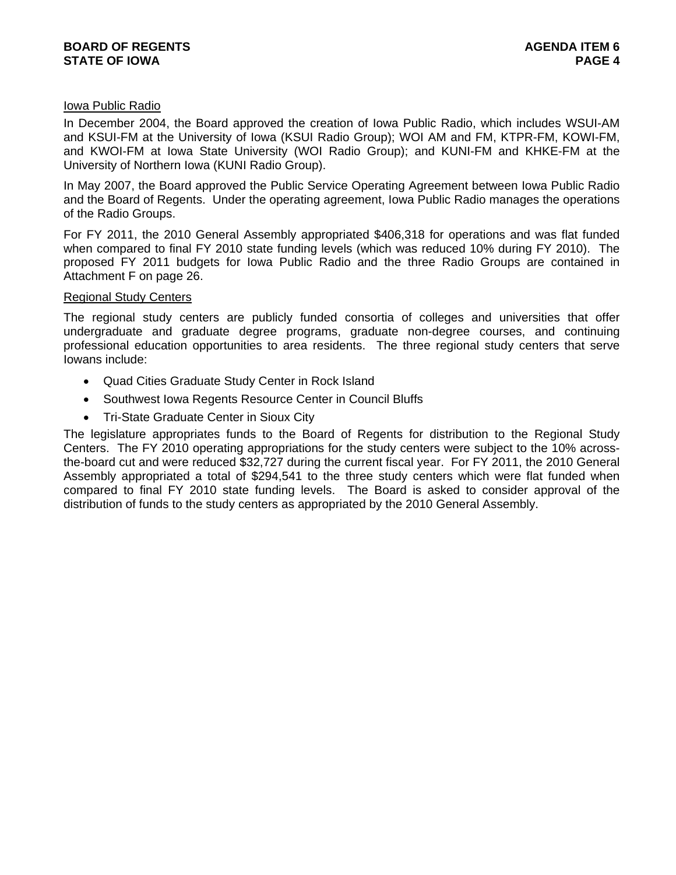# Iowa Public Radio

In December 2004, the Board approved the creation of Iowa Public Radio, which includes WSUI-AM and KSUI-FM at the University of Iowa (KSUI Radio Group); WOI AM and FM, KTPR-FM, KOWI-FM, and KWOI-FM at Iowa State University (WOI Radio Group); and KUNI-FM and KHKE-FM at the University of Northern Iowa (KUNI Radio Group).

In May 2007, the Board approved the Public Service Operating Agreement between Iowa Public Radio and the Board of Regents. Under the operating agreement, Iowa Public Radio manages the operations of the Radio Groups.

For FY 2011, the 2010 General Assembly appropriated \$406,318 for operations and was flat funded when compared to final FY 2010 state funding levels (which was reduced 10% during FY 2010). The proposed FY 2011 budgets for Iowa Public Radio and the three Radio Groups are contained in Attachment F on page 26.

# Regional Study Centers

The regional study centers are publicly funded consortia of colleges and universities that offer undergraduate and graduate degree programs, graduate non-degree courses, and continuing professional education opportunities to area residents. The three regional study centers that serve Iowans include:

- Quad Cities Graduate Study Center in Rock Island
- Southwest Iowa Regents Resource Center in Council Bluffs
- Tri-State Graduate Center in Sioux City

The legislature appropriates funds to the Board of Regents for distribution to the Regional Study Centers. The FY 2010 operating appropriations for the study centers were subject to the 10% acrossthe-board cut and were reduced \$32,727 during the current fiscal year. For FY 2011, the 2010 General Assembly appropriated a total of \$294,541 to the three study centers which were flat funded when compared to final FY 2010 state funding levels. The Board is asked to consider approval of the distribution of funds to the study centers as appropriated by the 2010 General Assembly.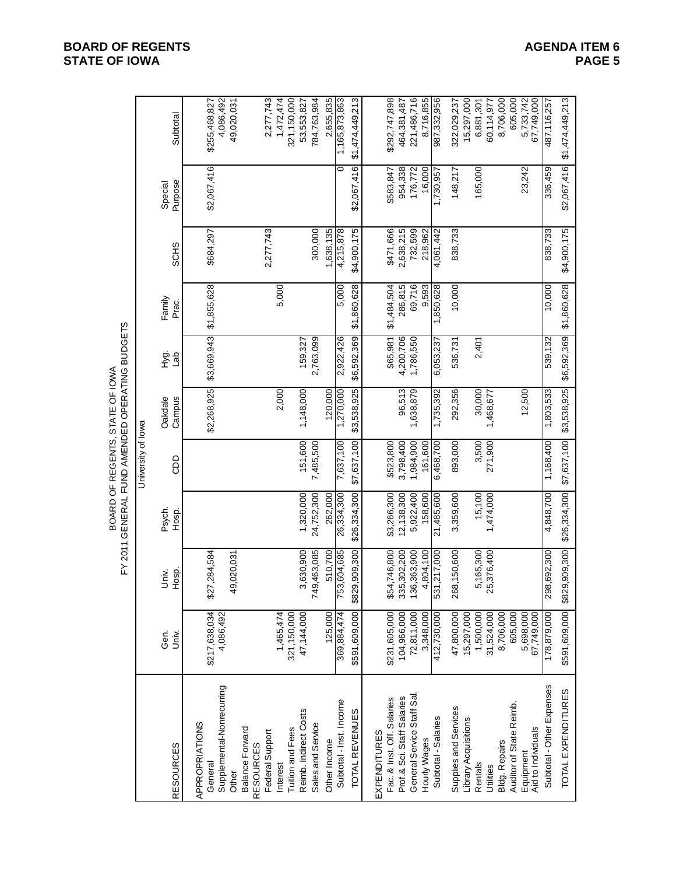**BOARD OF REGENTS**<br> **BOARD OF REGENTS**<br> **BOARD OF IOWA**<br>
PAGE 5 **STATE OF IOWA**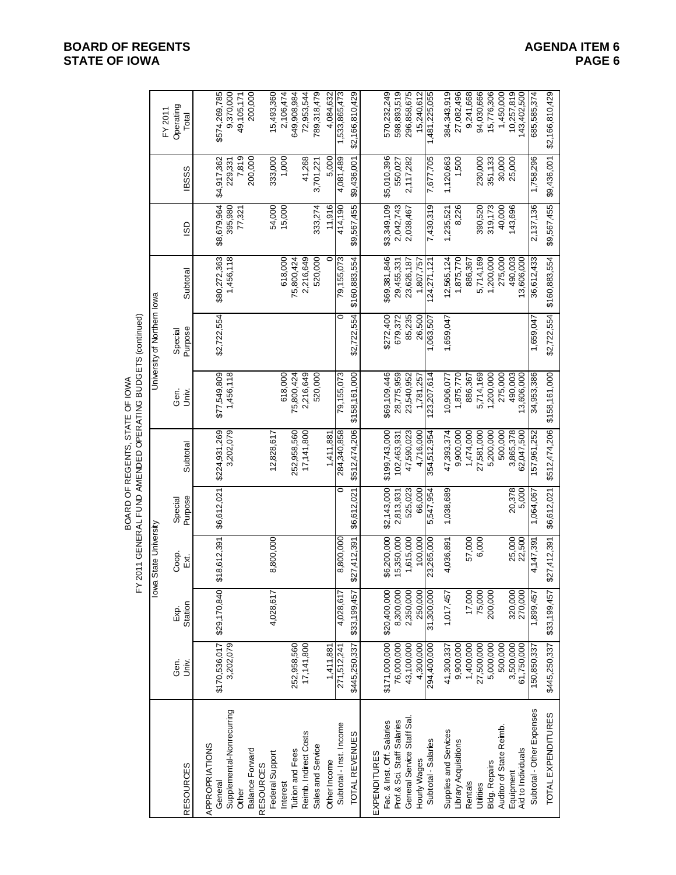| BOARD OF REGENTS, STATE OF IOW | ľ<br>-<br>-<br>-<br>-<br>-<br>-<br>-<br><br>-<br><br><br><br><br><br><br><br><br><br><br><br><br><br><br><br><br><br><br><br><br>;<br>נו<br><b><i>MENDED OPERATIN</i></b><br>֪֦֧֦֪֦֧֪֪֪֪֡֝֝֝֝֝֝֝֝֝֝֝֬֝֝֝֝֝֝֝֝֝֝֝<br>֧֪֪֪֪֪֪֪֪֪֪֪֪֪֝֝֞֝֝֝֝֝֝֝֝֝֝֝֝֝<br>-<br>D<br>ERAL <sup>T</sup><br>ラコー<br>׆<br>م<br>₹<br>٠ |
|--------------------------------|--------------------------------------------------------------------------------------------------------------------------------------------------------------------------------------------------------------------------------------------------------------------------------------------------------------|

|                                            |                            |                    |                    |                    | BOARD OF REGENTS, STATE OF IOWA | FY 2011 GENERAL FUND AMENDED OPERATING BUDGETS (continued) |                             |                       |             |             |                           |
|--------------------------------------------|----------------------------|--------------------|--------------------|--------------------|---------------------------------|------------------------------------------------------------|-----------------------------|-----------------------|-------------|-------------|---------------------------|
|                                            |                            | $\frac{8}{10}$     | a State University |                    |                                 |                                                            | University of Northern lowa |                       |             |             | FY 2011                   |
| <b>RESOURCES</b>                           | Gen.<br>Š.                 | Station<br>Exp.    | Coop.<br>Exi       | Purpose<br>Special | Subtotal                        | Ger.<br>is<br>Jniv                                         | Purpose<br>Special          | Subtotal              | GO          | <b>BSSS</b> | Operating<br>Total        |
| APPROPRIATIONS                             |                            |                    |                    |                    |                                 |                                                            |                             |                       |             |             |                           |
| General                                    | \$170,536,017              | \$29,170,840       | \$18,612,391       | \$6,612,021        | \$224,931,269                   | \$77,549,809                                               | \$2,722,554                 | \$80,272,363          | \$8,679,964 | \$4,917,362 | \$574,269,785             |
| Supplemental-Nonrecurring                  | 3,202,079                  |                    |                    |                    | 3,202,079                       | 1,456,118                                                  |                             | 1,456,118             | 395,980     | 229,331     | 9,370,000                 |
| Other                                      |                            |                    |                    |                    |                                 |                                                            |                             |                       | 77,321      | 7,819       | 49,105,171                |
| <b>Balance Forward</b><br><b>RESOURCES</b> |                            |                    |                    |                    |                                 |                                                            |                             |                       |             | 200,000     | 200,000                   |
| Federal Support                            |                            | 4,028,617          | 8,800,000          |                    | 12,828,617                      |                                                            |                             |                       | 54,000      | 333,000     | 15,493,360                |
| Interest                                   |                            |                    |                    |                    |                                 | 618,000                                                    |                             | 618,000               | 15,000      | 1,000       | 2,106,474                 |
| <b>Tuition and Fees</b>                    | 252,958,560                |                    |                    |                    | 252,958,560                     | 75,800,424                                                 |                             | 75,800,424            |             |             | 649,908,984               |
| Reimb. Indirect Costs                      | 17,141,800                 |                    |                    |                    | 17,141,800                      | 2,216,649                                                  |                             | 2,216,649             |             | 41,268      | 72,953,544                |
| Sales and Service                          |                            |                    |                    |                    |                                 | 520,000                                                    |                             | 520,000               | 333,274     | 3,701,221   | 789,318,479               |
| Other Income                               | 1,411,881                  |                    |                    |                    | 1,411,881                       |                                                            |                             |                       | 11,916      | 5.000       | 4,084,632                 |
| Subtotal - Inst. Income                    | 271,512,241                | 4,028,617          | 8,800,000          | c                  | 284,340,858                     | 79,155,073                                                 | 0                           | 79,155,073            | 414,190     | 4,081,189   | 1,533,865,473             |
| TOTAL REVENUES                             | \$445,250,337              | \$33,199,457       | \$27,412,391       | \$6,612,021        | \$512,474,206                   | \$158,161,000                                              | \$2,722,554                 | \$160,883,554         | \$9,567,455 | \$9,436,001 | \$2,166,810,429           |
| <b>EXPENDITURES</b>                        |                            |                    |                    |                    |                                 |                                                            |                             |                       |             |             |                           |
| Fac. & Inst. Off. Salaries                 | \$171,000,000              | \$20,400,000       | \$6,200,000        | \$2,143,000        | \$199,743,000                   | \$69,109,446                                               | \$272,400                   | \$69,381,846          | \$3,349,109 | \$5,010,396 | 570,232,249               |
| Prof.& Sci. Staff Salaries                 | 76,000,000                 | 8,300,000          | 15,350,000         | 2,813,931          | 102,463,931                     | 28,775,959                                                 | 679,372                     | 29,455,331            | 2,042,743   | 550,027     | 598,893,519               |
| General Service Staff Sal.                 | 43,100,000                 | 2,350,000          | 1,615,000          | 525,023            | 47,590,023                      | 23,540,952                                                 | 85,235                      | 23,626,187            | 2,038,467   | 2,117,282   | 296,858,675               |
| Hourly Wages                               | 4,300,000                  | 250,000            | 100,000            | 66,000             | 4,716,000                       | 1,781,257                                                  | 26,500                      | 1,807,757             |             |             | 15,240,612                |
| Subtotal - Salaries                        | 294,400,000                | 31,300,000         | 23,265,000         | 5,547,954          | 354,512,954                     | 123,207,614                                                | 1,063,507                   | 124,271,121           | 7,430,319   | 7,677,705   | 1,481,225,055             |
| Supplies and Services                      | 41,300,337                 | 1,017,457          | 4,036,891          | 1,038,689          | 47,393,374                      | 10,906,077                                                 | 1,659,047                   | 12,565,124            | 1,235,521   | 1,120,663   | 384,343,919               |
| Library Acquisitions                       | 9,900,000                  |                    |                    |                    | 9,900,000                       | 1,875,770                                                  |                             | 1,875,770             | 8,226       | 1,500       | 27,082,496                |
| Rentals                                    | 1,400,000                  | 17,000             | 57,000             |                    | 1,474,000                       | 886,367                                                    |                             | 886,367               |             |             | 9,241,668                 |
| Utilities                                  | 27,500,000                 | 75,000             | 6,000              |                    | 27,581,000                      | 5,714,169                                                  |                             | 5,714,169             | 390,520     | 230,000     | 94,030,666                |
| Bldg. Repairs                              | 5,000,000                  | 200,000            |                    |                    | 5,200,000                       | 1,200,000                                                  |                             | 1,200,000             | 319,173     | 351,133     | 15,776,306                |
| Auditor of State Reimb.                    | 500,000                    |                    |                    |                    | 500,000                         | 275,000                                                    |                             | 275,000               | 40,000      | 30,000      | 1,450,000                 |
| Aid to Individuals<br>Equipment            | 3,500,000<br>61,750,000    | 320,000<br>270,000 | 25,000<br>22,500   | 20,378<br>5,000    | 3,865,378<br>62,047,500         | 490,003<br>13,606,000                                      |                             | 490,003<br>13,606,000 | 143,696     | 25,000      | 10,257,819<br>143,402,500 |
| Subtotal - Other Expenses                  | 50,850,337                 | ,899,457           | 4,147,391          | 1,064,067          | 157,961,252                     | 34,953,386                                                 | 1,659,047                   | 36,612,433            | 2,137,136   | 1,758,296   | 685,585,374               |
| TOTAL EXPENDITURES                         | \$445,250,337 \$33,199,457 |                    | \$27,412,391       | \$6,612,021        | \$512,474,206 \$158,161,000     |                                                            | \$2,722,554                 | \$160,883,554         | \$9,567,455 | \$9,436,001 | \$2,166,810,429           |

# **BOARD OF REGENTS**<br> **BOARD OF REGENTS**<br> **BOARD OF IOWA**<br>
PAGE 6 **STATE OF IOWA**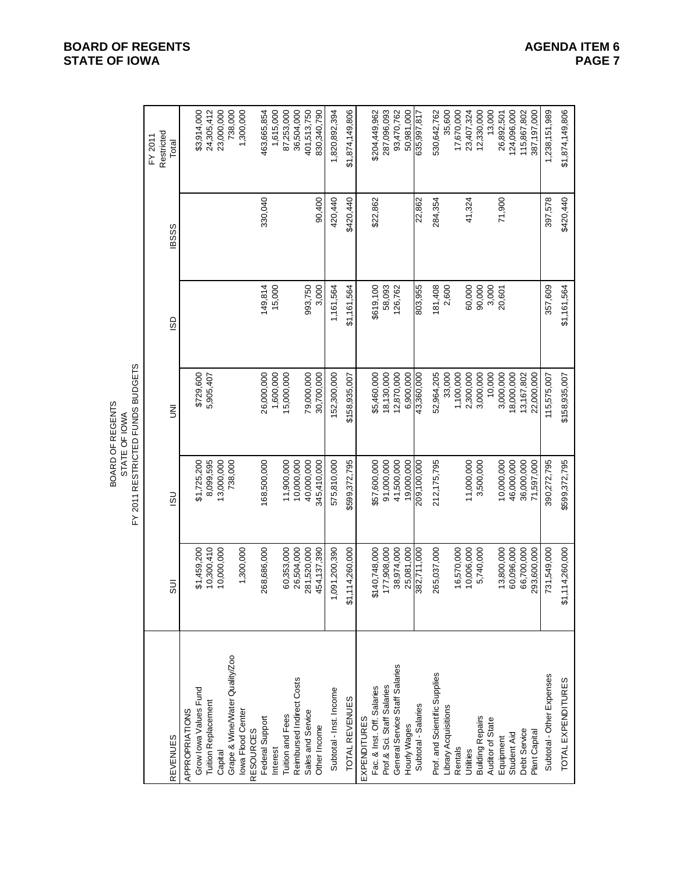|                                                |                 |               | FY 2011 RESTRICTED FUNDS BUDGETS<br>BOARD OF REGENTS<br>STATE OF IOWA |             |              |                                |
|------------------------------------------------|-----------------|---------------|-----------------------------------------------------------------------|-------------|--------------|--------------------------------|
| <b>REVENUES</b>                                | 5UI             | $\frac{1}{2}$ | ξ                                                                     | SD          | <b>IBSSS</b> | Restricted<br>FY 2011<br>Total |
|                                                |                 |               |                                                                       |             |              |                                |
| Grow lowa Values Fund<br><b>APPROPRIATIONS</b> | \$1,459,200     | \$1,725,200   | \$729,600                                                             |             |              | \$3,914,000                    |
| <b>Tuition Replacement</b>                     | 10,300,410      | 8,099,595     | 5,905,407                                                             |             |              | 24,305,412                     |
| Capital                                        | 10,000,000      | 13,000,000    |                                                                       |             |              | 23,000,000                     |
| Grape & Wine/Water Quality/Zoo                 |                 | 738,000       |                                                                       |             |              | 738,000                        |
| Iowa Flood Center<br><b>RESOURCES</b>          | 1,300,000       |               |                                                                       |             |              | 1,300,000                      |
| Federal Support                                | 268,686,000     | 168,500,000   | 26,000,000                                                            | 149,814     | 330,040      | 463,665,854                    |
| Interest                                       |                 |               | 1,600,000                                                             | 15,000      |              | 1,615,000                      |
| Tuition and Fees                               | 60,353,000      | 11,900,000    | 15,000,000                                                            |             |              | 87,253,000                     |
| Reimbursed Indirect Costs                      | 26,504,000      | 10,000,000    |                                                                       |             |              | 36,504,000                     |
| Sales and Service                              | 281,520,000     | 40,000,000    | 79,000,000                                                            | 993,750     |              | 401,513,750                    |
| Other Income                                   | 454,137,390     | 345,410,000   | 30,700,000                                                            | 3,000       | 90,400       | 830,340,790                    |
| Subtotal - Inst. Income                        | 1,091,200,390   | 575,810,000   | 52,300,000                                                            | 1,161,564   | 420,440      | 1,820,892,394                  |
| TOTAL REVENUES                                 | \$1,114,260,000 | \$599,372,795 | \$158,935,007                                                         | \$1,161,564 | \$420,440    | \$1,874,149,806                |
| EXPENDITURES                                   |                 |               |                                                                       |             |              |                                |
| Fac. & Inst. Off. Salaries                     | \$140,748,000   | \$57,600,000  | \$5,460,000                                                           | \$619,100   | \$22,862     | \$204,449,962                  |
| Prof.& Sci. Staff Salaries                     | 177,908,000     | 91,000,000    | 18,130,000                                                            | 58,093      |              | 287,096,093                    |
| General Service Staff Salaries                 | 38,974,000      | 41,500,000    | 12,870,000                                                            | 126,762     |              | 93,470,762                     |
| Hourly Wages                                   | 25,081,000      | 19,000,000    | 6,900,000                                                             |             |              | 50,981,000                     |
| Subtotal - Salaries                            | 382,711,000     | 209,100,000   | 43,360,000                                                            | 803,955     | 22,862       | 535,997,817                    |
| Prof. and Scientific Supplies                  | 265,037,000     | 212, 175, 795 | 52,964,205                                                            | 181,408     | 284,354      | 530,642,762                    |
| Library Acquisitions                           |                 |               | 33,000                                                                | 2,600       |              | 35,600                         |
| Rentals                                        | 16,570,000      |               | 1,100,000                                                             |             |              | 17,670,000                     |
| Utilities                                      | 10,006,000      | 11,000,000    | 2,300,000                                                             | 60,000      | 41,324       | 23,407,324                     |
| <b>Building Repairs</b>                        | 5,740,000       | 3,500,000     | 3,000,000                                                             | 90,000      |              | 12,330,000                     |
| Auditor of State                               |                 |               | 10,000                                                                | 3,000       |              | 13,000                         |
| Equipment                                      | 13,800,000      | 10,000,000    | 3,000,000                                                             | 20,601      | 71,900       | 26,892,501                     |
| Student Aid                                    | 60,096,000      | 46,000,000    | 18,000,000                                                            |             |              | 124,096,000                    |
| Debt Service                                   | 66,700,000      | 36,000,000    | 13,167,802                                                            |             |              | 115,867,802                    |
| Plant Capital                                  | 293,600,000     | 71,597,000    | 22,000,000                                                            |             |              | 387,197,000                    |
| Subtotal - Other Expenses                      | 731,549,000     | 390,272,795   | 115,575,007                                                           | 357,609     | 397,578      | 1,238,151,989                  |
| TOTAL EXPENDITURES                             | \$1,114,260,000 | \$599,372,795 | \$158,935,007                                                         | \$1,161,564 | \$420,440    | \$1,874,149,806                |

# **BOARD OF REGENTS**<br> **BOARD OF REGENTS**<br> **BOARD OF IOWA**<br>
PAGE 7 **STATE OF IOWA**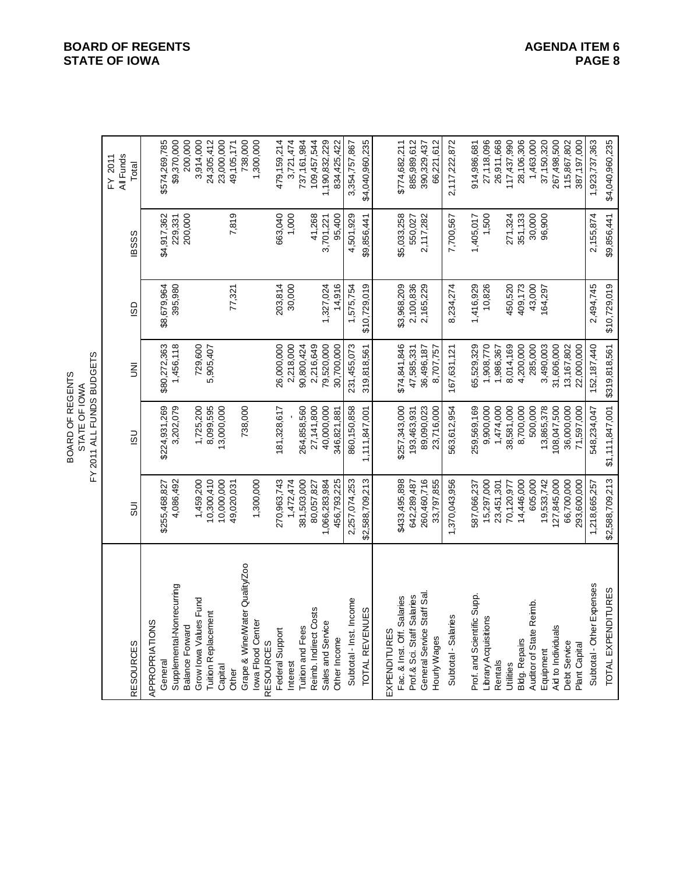|                                                                                                                                                    |                                                                  | FY 2011 ALL FUNDS BUDGETS<br>BOARD OF REGENTS<br>STATE OF IOWA |                                                       |                                       |                                     |                                                                             |
|----------------------------------------------------------------------------------------------------------------------------------------------------|------------------------------------------------------------------|----------------------------------------------------------------|-------------------------------------------------------|---------------------------------------|-------------------------------------|-----------------------------------------------------------------------------|
| <b>RESOURCES</b>                                                                                                                                   | 5U                                                               | $\overline{15}$                                                | $\bar{z}$                                             | GS                                    | <b>IBSSS</b>                        | All Funds<br>FY 2011<br>Total                                               |
| Supplemental-Nonrecurring<br>APPROPRIATIONS<br><b>Balance Forward</b><br>General                                                                   | 4,086,492<br>\$255,468,827                                       | 3,202,079<br>\$224,931,269                                     | 1,456,118<br>\$80,272,363                             | 395,980<br>\$8,679,964                | 200,000<br>\$4,917,362<br>229,331   | \$574,269,785<br>\$9,370,000<br>200,000                                     |
| Grape & Wine/Water Quality/Zoo<br>Grow Iowa Values Fund<br><b>Tuition Replacement</b><br>Iowa Flood Center<br><b>RESOURCES</b><br>Capital<br>Other | 10,300,410<br>10,000,000<br>1,459,200<br>1,300,000<br>49,020,031 | 8,099,595<br>1,725,200<br>13,000,000<br>738,000                | 729,600<br>5,905,407                                  | 77,321                                | 7,819                               | 3,914,000<br>24,305,412<br>23,000,000<br>49,105,171<br>738,000<br>1,300,000 |
| Federal Support<br>Interest                                                                                                                        | 1,472,474<br>270,963,743                                         | 181,328,617                                                    | 26,000,000<br>2,218,000                               | 203,814<br>30,000                     | 1,000<br>663,040                    | 479,159,214<br>3,721,474                                                    |
| Reimb. Indirect Costs<br>Sales and Service<br>Tuition and Fees<br>Other Income                                                                     | 381,503,000<br>1,066,283,984<br>456,793,225<br>80,057,827        | 264,858,560<br>40,000,000<br>27,141,800<br>346,821,881         | 79,520,000<br>2,216,649<br>30,700,000<br>90,800,424   | 1,327,024<br>14,916                   | 41,268<br>95,400<br>3,701,221       | 737,161,984<br>109,457,544<br>1,190,832,229<br>834,425,422                  |
| Subtotal - Inst. Income<br>TOTAL REVENUES                                                                                                          | \$2,588,709,213<br>2,257,074,253                                 | 860,150,858<br>1,111,847,001                                   | 231,455,073<br>319,818,561                            | \$10,729,019<br>1,575,754             | 4,501,929<br>\$9,856,441            | 3,354,757,867<br>\$4,040,960,235                                            |
| General Service Staff Sal<br>Fac. & Inst. Off. Salaries<br>Prof & Sci. Staff Salaries<br><b>EXPENDITURES</b><br>Hourly Wages                       | 260,460,716<br>33,797,855<br>\$433,495,898<br>642,289,487        | \$257,343,000<br>89,090,023<br>23,716,000<br>193,463,931       | \$74,841,846<br>36,496,187<br>47,585,331<br>8,707,757 | \$3,968,209<br>2,100,836<br>2,165,229 | \$5,033,258<br>2,117,282<br>550,027 | \$774,682,211<br>885,989,612<br>390,329,437<br>66,221,612                   |
| Subtotal - Salaries                                                                                                                                | 1,370,043,956                                                    | 563,612,954                                                    | 167,631,121                                           | 8,234,274                             | 7,700,567                           | 2,117,222,872                                                               |
| Prof. and Scientific Supp.<br>Library Acquisitions<br>Rentals                                                                                      | 15,297,000<br>587,066,237<br>23,451,301                          | 259,569,169<br>9,900,000<br>1,474,000                          | 65,529,329<br>1,908,770<br>1,986,367                  | 1,416,929<br>10,826                   | 1,405,017<br>1,500                  | 914,986,681<br>27,118,096<br>26,911,668                                     |
| Auditor of State Reimb.<br><b>Bldg. Repairs</b><br>Jtilities                                                                                       | 14,446,000<br>605,000<br>70,120,977                              | 8,700,000<br>500,000<br>38,581,000                             | 285,000<br>8,014,169<br>4,200,000                     | 450,520<br>409,173<br>43,000          | 30,000<br>351,133<br>271,324        | 117,437,990<br>28,106,306<br>1,463,000                                      |
| Aid to Individuals<br><b>Debt Service</b><br>Plant Capital<br>Equipment                                                                            | 127,845,000<br>19,533,742<br>66,700,000<br>293,600,000           | 108,047,500<br>36,000,000<br>13,865,378<br>71,597,000          | 31,606,000<br>13,167,802<br>3,490,003<br>22,000,000   | 164,297                               | 96,900                              | 37,150,320<br>267,498,500<br>115,867,802<br>387,197,000                     |
| Subtotal - Other Expenses<br>TOTAL EXPENDITURES                                                                                                    | \$2,588,709,213<br>1,218,665,257                                 | \$1,11,847,001<br>548,234,047                                  | 152,187,440<br>\$319,818,561                          | \$10,729,019<br>2,494,745             | \$9,856,441<br>2,155,874            | 1,923,737,363<br>\$4,040,960,235                                            |

# **BOARD OF REGENTS**<br> **BOARD OF REGENTS**<br> **BOARD OF IOWA**<br>
PAGE 8 **STATE OF IOWA**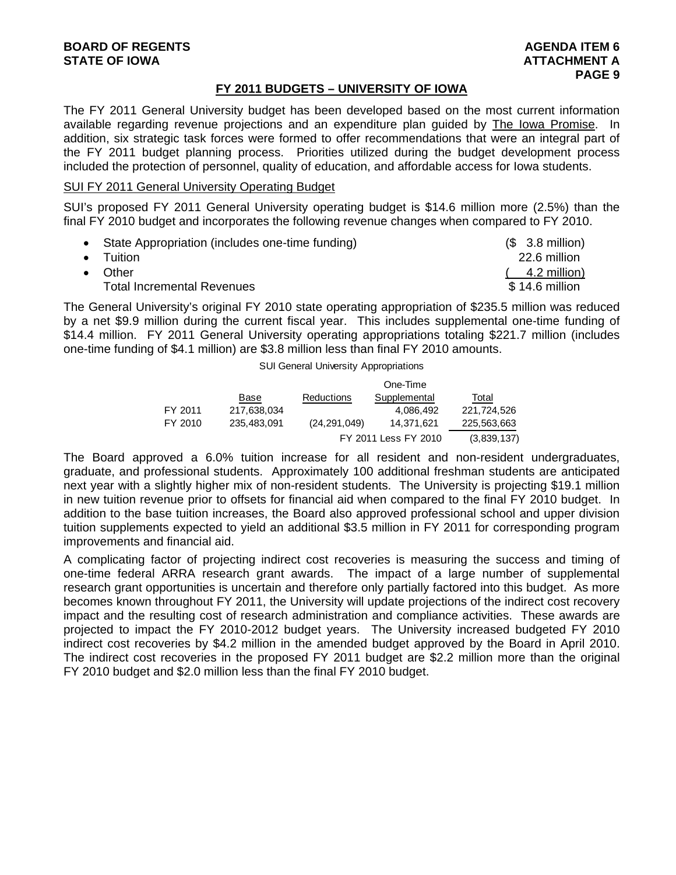# **FY 2011 BUDGETS – UNIVERSITY OF IOWA**

The FY 2011 General University budget has been developed based on the most current information available regarding revenue projections and an expenditure plan guided by The Iowa Promise. In addition, six strategic task forces were formed to offer recommendations that were an integral part of the FY 2011 budget planning process. Priorities utilized during the budget development process included the protection of personnel, quality of education, and affordable access for Iowa students.

# SUI FY 2011 General University Operating Budget

SUI's proposed FY 2011 General University operating budget is \$14.6 million more (2.5%) than the final FY 2010 budget and incorporates the following revenue changes when compared to FY 2010.

- State Appropriation (includes one-time funding) (\$ 3.8 million)
- Tuition 22.6 million
- 
- Other (4.2 million)
	- Total Incremental Revenues \$ 14.6 million

The General University's original FY 2010 state operating appropriation of \$235.5 million was reduced by a net \$9.9 million during the current fiscal year. This includes supplemental one-time funding of \$14.4 million. FY 2011 General University operating appropriations totaling \$221.7 million (includes one-time funding of \$4.1 million) are \$3.8 million less than final FY 2010 amounts.

### SUI General University Appropriations

|         |             |                | One-Time             |             |
|---------|-------------|----------------|----------------------|-------------|
|         | Base        | Reductions     | Supplemental         | Total       |
| FY 2011 | 217,638,034 |                | 4.086.492            | 221.724.526 |
| FY 2010 | 235.483.091 | (24, 291, 049) | 14.371.621           | 225,563,663 |
|         |             |                | FY 2011 Less FY 2010 | (3,839,137) |

The Board approved a 6.0% tuition increase for all resident and non-resident undergraduates, graduate, and professional students. Approximately 100 additional freshman students are anticipated next year with a slightly higher mix of non-resident students. The University is projecting \$19.1 million in new tuition revenue prior to offsets for financial aid when compared to the final FY 2010 budget. In addition to the base tuition increases, the Board also approved professional school and upper division tuition supplements expected to yield an additional \$3.5 million in FY 2011 for corresponding program improvements and financial aid.

A complicating factor of projecting indirect cost recoveries is measuring the success and timing of one-time federal ARRA research grant awards. The impact of a large number of supplemental research grant opportunities is uncertain and therefore only partially factored into this budget. As more becomes known throughout FY 2011, the University will update projections of the indirect cost recovery impact and the resulting cost of research administration and compliance activities. These awards are projected to impact the FY 2010-2012 budget years. The University increased budgeted FY 2010 indirect cost recoveries by \$4.2 million in the amended budget approved by the Board in April 2010. The indirect cost recoveries in the proposed FY 2011 budget are \$2.2 million more than the original FY 2010 budget and \$2.0 million less than the final FY 2010 budget.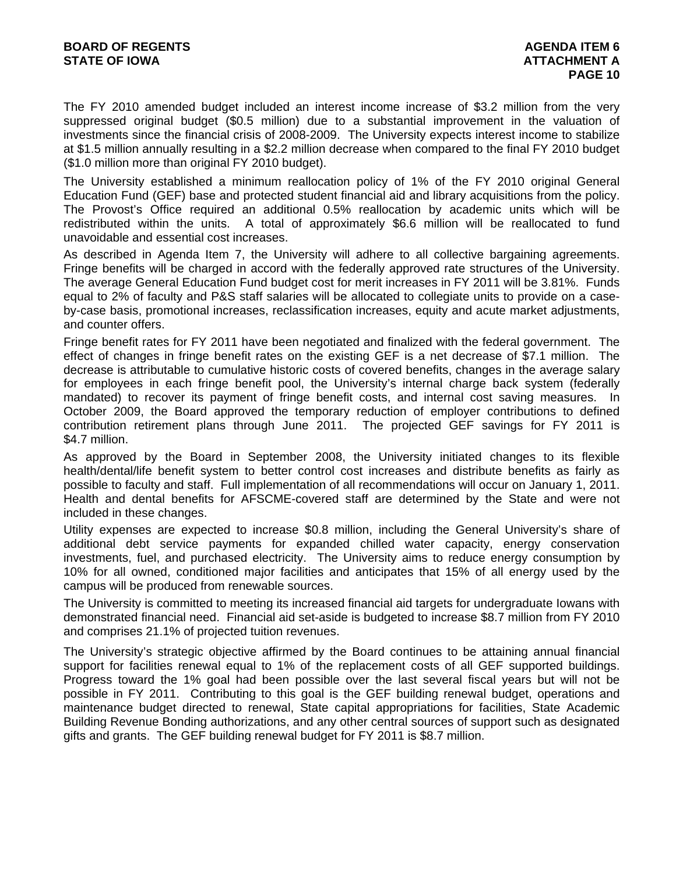The FY 2010 amended budget included an interest income increase of \$3.2 million from the very suppressed original budget (\$0.5 million) due to a substantial improvement in the valuation of investments since the financial crisis of 2008-2009. The University expects interest income to stabilize at \$1.5 million annually resulting in a \$2.2 million decrease when compared to the final FY 2010 budget (\$1.0 million more than original FY 2010 budget).

The University established a minimum reallocation policy of 1% of the FY 2010 original General Education Fund (GEF) base and protected student financial aid and library acquisitions from the policy. The Provost's Office required an additional 0.5% reallocation by academic units which will be redistributed within the units. A total of approximately \$6.6 million will be reallocated to fund unavoidable and essential cost increases.

As described in Agenda Item 7, the University will adhere to all collective bargaining agreements. Fringe benefits will be charged in accord with the federally approved rate structures of the University. The average General Education Fund budget cost for merit increases in FY 2011 will be 3.81%. Funds equal to 2% of faculty and P&S staff salaries will be allocated to collegiate units to provide on a caseby-case basis, promotional increases, reclassification increases, equity and acute market adjustments, and counter offers.

Fringe benefit rates for FY 2011 have been negotiated and finalized with the federal government. The effect of changes in fringe benefit rates on the existing GEF is a net decrease of \$7.1 million. The decrease is attributable to cumulative historic costs of covered benefits, changes in the average salary for employees in each fringe benefit pool, the University's internal charge back system (federally mandated) to recover its payment of fringe benefit costs, and internal cost saving measures. In October 2009, the Board approved the temporary reduction of employer contributions to defined contribution retirement plans through June 2011. The projected GEF savings for FY 2011 is \$4.7 million.

As approved by the Board in September 2008, the University initiated changes to its flexible health/dental/life benefit system to better control cost increases and distribute benefits as fairly as possible to faculty and staff. Full implementation of all recommendations will occur on January 1, 2011. Health and dental benefits for AFSCME-covered staff are determined by the State and were not included in these changes.

Utility expenses are expected to increase \$0.8 million, including the General University's share of additional debt service payments for expanded chilled water capacity, energy conservation investments, fuel, and purchased electricity. The University aims to reduce energy consumption by 10% for all owned, conditioned major facilities and anticipates that 15% of all energy used by the campus will be produced from renewable sources.

The University is committed to meeting its increased financial aid targets for undergraduate Iowans with demonstrated financial need. Financial aid set-aside is budgeted to increase \$8.7 million from FY 2010 and comprises 21.1% of projected tuition revenues.

The University's strategic objective affirmed by the Board continues to be attaining annual financial support for facilities renewal equal to 1% of the replacement costs of all GEF supported buildings. Progress toward the 1% goal had been possible over the last several fiscal years but will not be possible in FY 2011. Contributing to this goal is the GEF building renewal budget, operations and maintenance budget directed to renewal, State capital appropriations for facilities, State Academic Building Revenue Bonding authorizations, and any other central sources of support such as designated gifts and grants. The GEF building renewal budget for FY 2011 is \$8.7 million.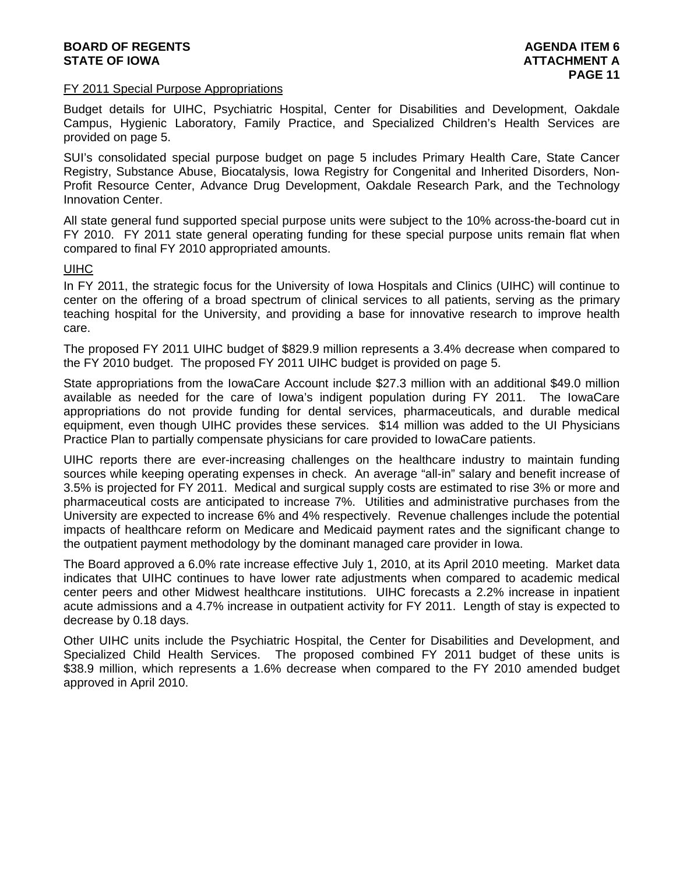# **BOARD OF REGENTS AGENERAL LIGHT CONSUMING A LIGHT CONSUMING A LIGHT CONSUMING A LIGHT CONSUMING A LIGHT CONSUMING A LIGHT CONSUMING A LIGHT CONSUMING A LIGHT CONSUMING A LIGHT CONSUMING A LIGHT CONSUMING A LIGHT CONSUMING STATE OF IOWA ATTACHMENT A**

#### FY 2011 Special Purpose Appropriations

Budget details for UIHC, Psychiatric Hospital, Center for Disabilities and Development, Oakdale Campus, Hygienic Laboratory, Family Practice, and Specialized Children's Health Services are provided on page 5.

SUI's consolidated special purpose budget on page 5 includes Primary Health Care, State Cancer Registry, Substance Abuse, Biocatalysis, Iowa Registry for Congenital and Inherited Disorders, Non-Profit Resource Center, Advance Drug Development, Oakdale Research Park, and the Technology Innovation Center.

All state general fund supported special purpose units were subject to the 10% across-the-board cut in FY 2010. FY 2011 state general operating funding for these special purpose units remain flat when compared to final FY 2010 appropriated amounts.

# UIHC

In FY 2011, the strategic focus for the University of Iowa Hospitals and Clinics (UIHC) will continue to center on the offering of a broad spectrum of clinical services to all patients, serving as the primary teaching hospital for the University, and providing a base for innovative research to improve health care.

The proposed FY 2011 UIHC budget of \$829.9 million represents a 3.4% decrease when compared to the FY 2010 budget. The proposed FY 2011 UIHC budget is provided on page 5.

State appropriations from the IowaCare Account include \$27.3 million with an additional \$49.0 million available as needed for the care of Iowa's indigent population during FY 2011. The IowaCare appropriations do not provide funding for dental services, pharmaceuticals, and durable medical equipment, even though UIHC provides these services. \$14 million was added to the UI Physicians Practice Plan to partially compensate physicians for care provided to IowaCare patients.

UIHC reports there are ever-increasing challenges on the healthcare industry to maintain funding sources while keeping operating expenses in check. An average "all-in" salary and benefit increase of 3.5% is projected for FY 2011. Medical and surgical supply costs are estimated to rise 3% or more and pharmaceutical costs are anticipated to increase 7%. Utilities and administrative purchases from the University are expected to increase 6% and 4% respectively. Revenue challenges include the potential impacts of healthcare reform on Medicare and Medicaid payment rates and the significant change to the outpatient payment methodology by the dominant managed care provider in Iowa.

The Board approved a 6.0% rate increase effective July 1, 2010, at its April 2010 meeting. Market data indicates that UIHC continues to have lower rate adjustments when compared to academic medical center peers and other Midwest healthcare institutions. UIHC forecasts a 2.2% increase in inpatient acute admissions and a 4.7% increase in outpatient activity for FY 2011. Length of stay is expected to decrease by 0.18 days.

Other UIHC units include the Psychiatric Hospital, the Center for Disabilities and Development, and Specialized Child Health Services. The proposed combined FY 2011 budget of these units is \$38.9 million, which represents a 1.6% decrease when compared to the FY 2010 amended budget approved in April 2010.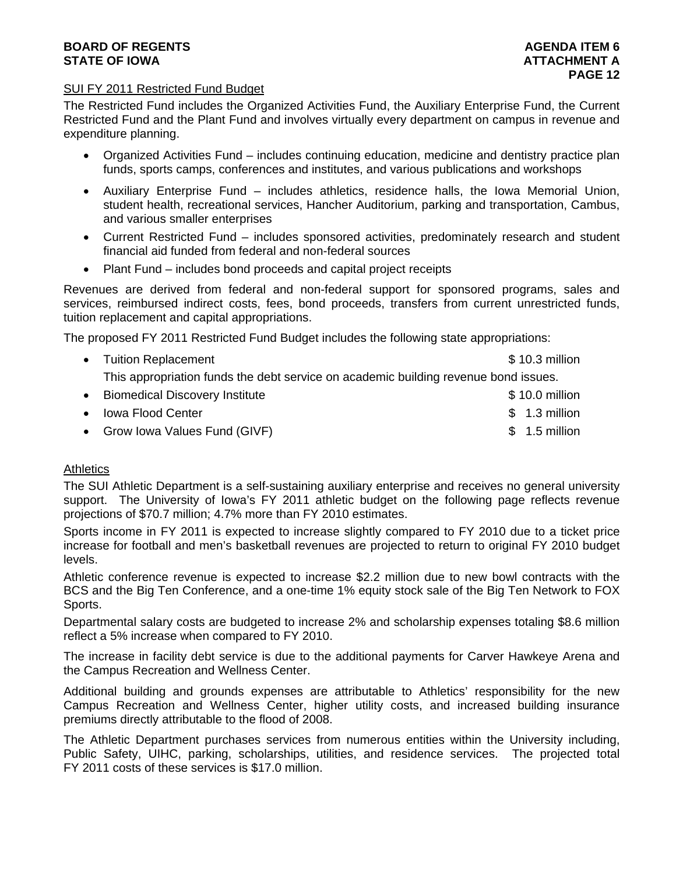# **BOARD OF REGENTS** AGENERATION OF REGENTS AGENERATION OF REGENTS AGENERATION OF REGENTS AGENERATION OF REGENTS AGENERATION OF REGENTS AGENERATION OF REGENTS AGENERATION OF REGENTS AGENERATION OF REGENTS AGENERATION OF REGE **STATE OF IOWA ATTACHMENT A**

# SUI FY 2011 Restricted Fund Budget

The Restricted Fund includes the Organized Activities Fund, the Auxiliary Enterprise Fund, the Current Restricted Fund and the Plant Fund and involves virtually every department on campus in revenue and expenditure planning.

- Organized Activities Fund includes continuing education, medicine and dentistry practice plan funds, sports camps, conferences and institutes, and various publications and workshops
- Auxiliary Enterprise Fund includes athletics, residence halls, the Iowa Memorial Union, student health, recreational services, Hancher Auditorium, parking and transportation, Cambus, and various smaller enterprises
- Current Restricted Fund includes sponsored activities, predominately research and student financial aid funded from federal and non-federal sources
- Plant Fund includes bond proceeds and capital project receipts

Revenues are derived from federal and non-federal support for sponsored programs, sales and services, reimbursed indirect costs, fees, bond proceeds, transfers from current unrestricted funds, tuition replacement and capital appropriations.

The proposed FY 2011 Restricted Fund Budget includes the following state appropriations:

| • Tuition Replacement                                                               | $$10.3$ million |
|-------------------------------------------------------------------------------------|-----------------|
| This appropriation funds the debt service on academic building revenue bond issues. |                 |
| • Biomedical Discovery Institute                                                    | $$10.0$ million |
| • Iowa Flood Center                                                                 | $$1.3$ million  |
|                                                                                     |                 |

• Grow Iowa Values Fund (GIVF)  $\sim$  8 1.5 million

# **Athletics**

The SUI Athletic Department is a self-sustaining auxiliary enterprise and receives no general university support. The University of Iowa's FY 2011 athletic budget on the following page reflects revenue projections of \$70.7 million; 4.7% more than FY 2010 estimates.

Sports income in FY 2011 is expected to increase slightly compared to FY 2010 due to a ticket price increase for football and men's basketball revenues are projected to return to original FY 2010 budget levels.

Athletic conference revenue is expected to increase \$2.2 million due to new bowl contracts with the BCS and the Big Ten Conference, and a one-time 1% equity stock sale of the Big Ten Network to FOX Sports.

Departmental salary costs are budgeted to increase 2% and scholarship expenses totaling \$8.6 million reflect a 5% increase when compared to FY 2010.

The increase in facility debt service is due to the additional payments for Carver Hawkeye Arena and the Campus Recreation and Wellness Center.

Additional building and grounds expenses are attributable to Athletics' responsibility for the new Campus Recreation and Wellness Center, higher utility costs, and increased building insurance premiums directly attributable to the flood of 2008.

The Athletic Department purchases services from numerous entities within the University including, Public Safety, UIHC, parking, scholarships, utilities, and residence services. The projected total FY 2011 costs of these services is \$17.0 million.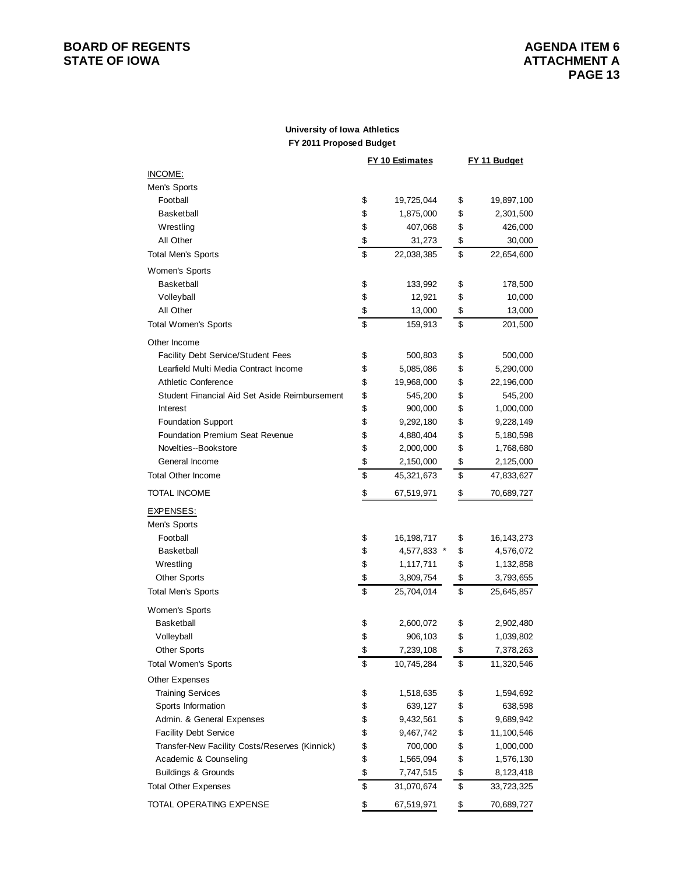# **BOARD OF REGENTS**<br> **BOARD OF REGENTS**<br> **STATE OF IOWA**<br> **ATTACHMENT A**

#### **University of Iowa Athletics FY 2011 Proposed Budget**

|                                                | <b>FY 10 Estimates</b> | <b>FY 11 Budget</b> |
|------------------------------------------------|------------------------|---------------------|
| INCOME:                                        |                        |                     |
| Men's Sports                                   |                        |                     |
| Football                                       | \$<br>19,725,044       | \$<br>19,897,100    |
| <b>Basketball</b>                              | \$<br>1,875,000        | \$<br>2,301,500     |
| Wrestling                                      | \$<br>407,068          | \$<br>426,000       |
| All Other                                      | \$<br>31,273           | \$<br>30,000        |
| <b>Total Men's Sports</b>                      | \$<br>22,038,385       | \$<br>22,654,600    |
| Women's Sports                                 |                        |                     |
| <b>Basketball</b>                              | \$<br>133,992          | \$<br>178,500       |
| Volleyball                                     | \$<br>12,921           | \$<br>10,000        |
| All Other                                      | \$<br>13,000           | \$<br>13,000        |
| <b>Total Women's Sports</b>                    | \$<br>159,913          | \$<br>201,500       |
| Other Income                                   |                        |                     |
| <b>Facility Debt Service/Student Fees</b>      | \$<br>500,803          | \$<br>500,000       |
| Learfield Multi Media Contract Income          | \$<br>5,085,086        | \$<br>5,290,000     |
| <b>Athletic Conference</b>                     | \$<br>19,968,000       | \$<br>22,196,000    |
| Student Financial Aid Set Aside Reimbursement  | \$<br>545,200          | \$<br>545,200       |
| Interest                                       | \$<br>900,000          | \$<br>1,000,000     |
| <b>Foundation Support</b>                      | \$<br>9,292,180        | \$<br>9,228,149     |
| <b>Foundation Premium Seat Revenue</b>         | \$<br>4,880,404        | \$<br>5,180,598     |
| Novelties--Bookstore                           | \$<br>2,000,000        | \$<br>1,768,680     |
| General Income                                 | \$<br>2,150,000        | \$<br>2,125,000     |
| <b>Total Other Income</b>                      | \$<br>45,321,673       | \$<br>47,833,627    |
| TOTAL INCOME                                   | \$<br>67,519,971       | \$<br>70,689,727    |
| EXPENSES:                                      |                        |                     |
| Men's Sports                                   |                        |                     |
| Football                                       | \$<br>16, 198, 717     | \$<br>16, 143, 273  |
| <b>Basketball</b>                              | \$<br>4,577,833 *      | \$<br>4,576,072     |
| Wrestling                                      | \$<br>1,117,711        | \$<br>1,132,858     |
| <b>Other Sports</b>                            | \$<br>3,809,754        | \$<br>3,793,655     |
| <b>Total Men's Sports</b>                      | \$<br>25,704,014       | \$<br>25,645,857    |
| Women's Sports                                 |                        |                     |
| <b>Basketball</b>                              | \$<br>2,600,072        | \$<br>2,902,480     |
| Volleyball                                     | \$<br>906,103          | \$<br>1,039,802     |
| <b>Other Sports</b>                            | \$<br>7,239,108        | \$<br>7,378,263     |
| <b>Total Women's Sports</b>                    | \$<br>10,745,284       | \$<br>11,320,546    |
| <b>Other Expenses</b>                          |                        |                     |
| <b>Training Services</b>                       | \$<br>1,518,635        | \$<br>1,594,692     |
| Sports Information                             | \$<br>639,127          | \$<br>638,598       |
| Admin. & General Expenses                      | \$<br>9,432,561        | \$<br>9,689,942     |
| <b>Facility Debt Service</b>                   | \$<br>9,467,742        | \$<br>11,100,546    |
| Transfer-New Facility Costs/Reserves (Kinnick) | \$<br>700,000          | \$<br>1,000,000     |
| Academic & Counseling                          | \$<br>1,565,094        | \$<br>1,576,130     |
| <b>Buildings &amp; Grounds</b>                 | \$<br>7,747,515        | \$<br>8,123,418     |
| <b>Total Other Expenses</b>                    | \$<br>31,070,674       | \$<br>33,723,325    |
| TOTAL OPERATING EXPENSE                        | \$<br>67,519,971       | \$<br>70,689,727    |
|                                                |                        |                     |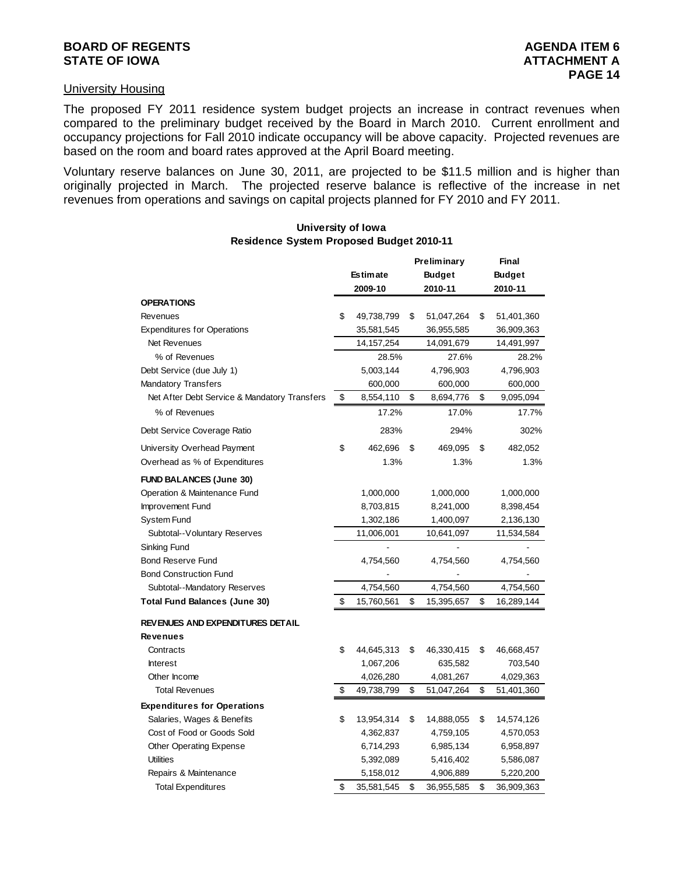#### University Housing

The proposed FY 2011 residence system budget projects an increase in contract revenues when compared to the preliminary budget received by the Board in March 2010. Current enrollment and occupancy projections for Fall 2010 indicate occupancy will be above capacity. Projected revenues are based on the room and board rates approved at the April Board meeting.

Voluntary reserve balances on June 30, 2011, are projected to be \$11.5 million and is higher than originally projected in March. The projected reserve balance is reflective of the increase in net revenues from operations and savings on capital projects planned for FY 2010 and FY 2011.

# **Preliminary Final Estimate Budget Budget 2009-10 2010-11 2010-11 OPERATIONS**  Revenues **49,738,799 \$ 51,047,264 \$ 51,401,360** \$ 51,047,264 \$ 51,401,360 Expenditures for Operations 35,581,545 36,955,585 36,909,363 Net Revenues 14,157,254 14,091,679 14,491,997 % of Revenues 28.5% 27.6% 28.2% Debt Service (due July 1) 5,003,144 4,796,903 4,796,903 Mandatory Transfers 600,000 600,000 600,000 Net After Debt Service & Mandatory Transfers  $$8,554,110$  \$ 8,694,776 \$ 9,095,094 % of Revenues 17.2% 17.0% 17.7% Debt Service Coverage Ratio 283% 294% 302% University Overhead Payment  $\qquad \qquad \$ \qquad 462,696 \quad \$ \qquad 469,095 \quad \$ \qquad 482,052$ Overhead as % of Expenditures 1.3% 1.3% 1.3% **FUND BALANCES (June 30)** Operation & Maintenance Fund 1,000,000 1,000,000 1,000,000 Improvement Fund 8,703,815 8,241,000 8,398,454 System Fund 1,302,186 1,400,097 2,136,130 Subtotal--Voluntary Reserves 11,006,001 10,641,097 11,534,584 Sinking Fund Bond Reserve Fund **4,754,560** 4,754,560 4,754,560 Bond Construction Fund Subtotal--Mandatory Reserves 1,754,560 4,754,560 4,754,560 4,754,560 Total Fund Balances (June 30)  $$ 15,760,561 $ 15,395,657 $ 16,289,144$ **REVENUES AND EXPENDITURES DETAIL Revenues** Contracts **44,645,313** \$ 46,330,415 \$ 46,668,457 Interest 1,067,206 635,582 703,540 Other Income 4,026,280 4,081,267 4,029,363 Total Revenues **49,738,799** \$ 51,047,264 \$ 51,401,360 **Expenditures for Operations** Salaries, Wages & Benefits 13,954,314 \$ 14,888,055 \$ 14,574,126 Cost of Food or Goods Sold 4,362,837 4,759,105 4,570,053 Other Operating Expense 6,714,293 6,985,134 6,958,897 Utilities 5, 5,416,402 392,089 5,586,087 Repairs & Maintenance 5,158,012 4,906,889 5,220,200 Total Expenditures 35,581,545 \$ 36,955,585 \$ 36,909,363 \$

#### **University of Iowa Residence System Proposed Budget 2010-11**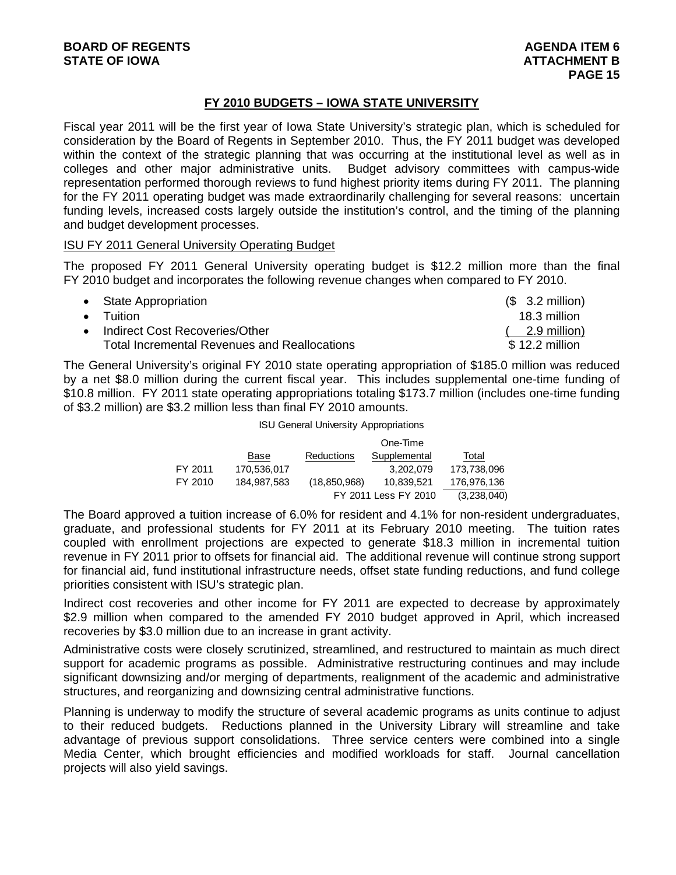# **FY 2010 BUDGETS – IOWA STATE UNIVERSITY**

Fiscal year 2011 will be the first year of Iowa State University's strategic plan, which is scheduled for consideration by the Board of Regents in September 2010. Thus, the FY 2011 budget was developed within the context of the strategic planning that was occurring at the institutional level as well as in colleges and other major administrative units. Budget advisory committees with campus-wide representation performed thorough reviews to fund highest priority items during FY 2011. The planning for the FY 2011 operating budget was made extraordinarily challenging for several reasons: uncertain funding levels, increased costs largely outside the institution's control, and the timing of the planning and budget development processes.

# ISU FY 2011 General University Operating Budget

The proposed FY 2011 General University operating budget is \$12.2 million more than the final FY 2010 budget and incorporates the following revenue changes when compared to FY 2010.

| • State Appropriation                               | $$3.2$ million)         |
|-----------------------------------------------------|-------------------------|
| $\bullet$ Tuition                                   | 18.3 million            |
| • Indirect Cost Recoveries/Other                    | $(2.9 \text{ million})$ |
| <b>Total Incremental Revenues and Reallocations</b> | $$12.2$ million         |

The General University's original FY 2010 state operating appropriation of \$185.0 million was reduced by a net \$8.0 million during the current fiscal year. This includes supplemental one-time funding of \$10.8 million. FY 2011 state operating appropriations totaling \$173.7 million (includes one-time funding of \$3.2 million) are \$3.2 million less than final FY 2010 amounts.

|  |  | <b>ISU General University Appropriations</b> |
|--|--|----------------------------------------------|
|--|--|----------------------------------------------|

|         |             |                | One-Time             |             |
|---------|-------------|----------------|----------------------|-------------|
|         | Base        | Reductions     | Supplemental         | Total       |
| FY 2011 | 170,536,017 |                | 3.202.079            | 173,738,096 |
| FY 2010 | 184,987,583 | (18, 850, 968) | 10.839.521           | 176,976,136 |
|         |             |                | FY 2011 Less FY 2010 | (3,238,040) |

The Board approved a tuition increase of 6.0% for resident and 4.1% for non-resident undergraduates, graduate, and professional students for FY 2011 at its February 2010 meeting. The tuition rates coupled with enrollment projections are expected to generate \$18.3 million in incremental tuition revenue in FY 2011 prior to offsets for financial aid. The additional revenue will continue strong support for financial aid, fund institutional infrastructure needs, offset state funding reductions, and fund college priorities consistent with ISU's strategic plan.

Indirect cost recoveries and other income for FY 2011 are expected to decrease by approximately \$2.9 million when compared to the amended FY 2010 budget approved in April, which increased recoveries by \$3.0 million due to an increase in grant activity.

Administrative costs were closely scrutinized, streamlined, and restructured to maintain as much direct support for academic programs as possible. Administrative restructuring continues and may include significant downsizing and/or merging of departments, realignment of the academic and administrative structures, and reorganizing and downsizing central administrative functions.

Planning is underway to modify the structure of several academic programs as units continue to adjust to their reduced budgets. Reductions planned in the University Library will streamline and take advantage of previous support consolidations. Three service centers were combined into a single Media Center, which brought efficiencies and modified workloads for staff. Journal cancellation projects will also yield savings.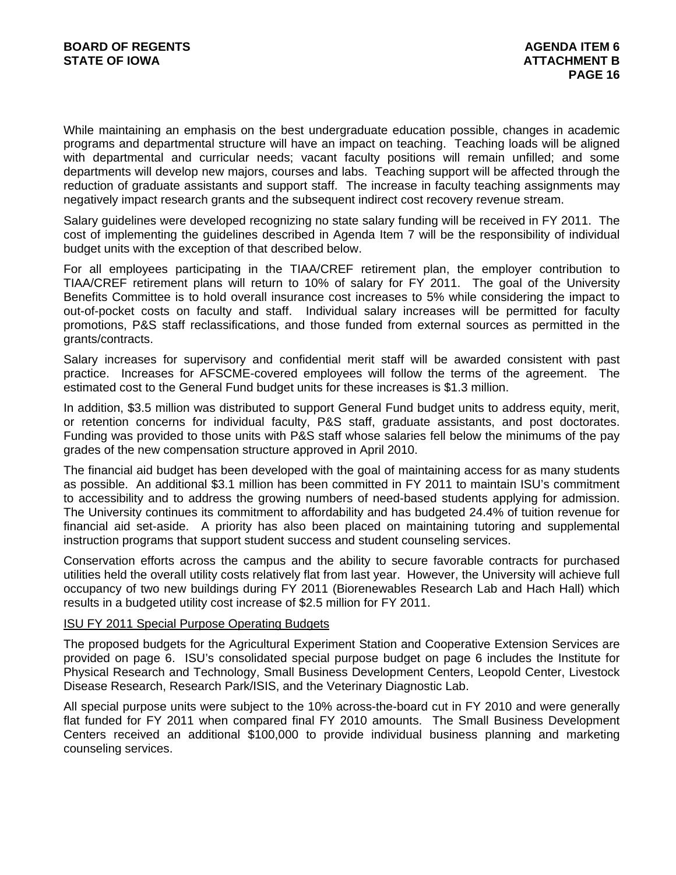While maintaining an emphasis on the best undergraduate education possible, changes in academic programs and departmental structure will have an impact on teaching. Teaching loads will be aligned with departmental and curricular needs; vacant faculty positions will remain unfilled; and some departments will develop new majors, courses and labs. Teaching support will be affected through the reduction of graduate assistants and support staff. The increase in faculty teaching assignments may negatively impact research grants and the subsequent indirect cost recovery revenue stream.

Salary guidelines were developed recognizing no state salary funding will be received in FY 2011. The cost of implementing the guidelines described in Agenda Item 7 will be the responsibility of individual budget units with the exception of that described below.

For all employees participating in the TIAA/CREF retirement plan, the employer contribution to TIAA/CREF retirement plans will return to 10% of salary for FY 2011. The goal of the University Benefits Committee is to hold overall insurance cost increases to 5% while considering the impact to out-of-pocket costs on faculty and staff. Individual salary increases will be permitted for faculty promotions, P&S staff reclassifications, and those funded from external sources as permitted in the grants/contracts.

Salary increases for supervisory and confidential merit staff will be awarded consistent with past practice. Increases for AFSCME-covered employees will follow the terms of the agreement. The estimated cost to the General Fund budget units for these increases is \$1.3 million.

In addition, \$3.5 million was distributed to support General Fund budget units to address equity, merit, or retention concerns for individual faculty, P&S staff, graduate assistants, and post doctorates. Funding was provided to those units with P&S staff whose salaries fell below the minimums of the pay grades of the new compensation structure approved in April 2010.

The financial aid budget has been developed with the goal of maintaining access for as many students as possible. An additional \$3.1 million has been committed in FY 2011 to maintain ISU's commitment to accessibility and to address the growing numbers of need-based students applying for admission. The University continues its commitment to affordability and has budgeted 24.4% of tuition revenue for financial aid set-aside. A priority has also been placed on maintaining tutoring and supplemental instruction programs that support student success and student counseling services.

Conservation efforts across the campus and the ability to secure favorable contracts for purchased utilities held the overall utility costs relatively flat from last year. However, the University will achieve full occupancy of two new buildings during FY 2011 (Biorenewables Research Lab and Hach Hall) which results in a budgeted utility cost increase of \$2.5 million for FY 2011.

# ISU FY 2011 Special Purpose Operating Budgets

The proposed budgets for the Agricultural Experiment Station and Cooperative Extension Services are provided on page 6. ISU's consolidated special purpose budget on page 6 includes the Institute for Physical Research and Technology, Small Business Development Centers, Leopold Center, Livestock Disease Research, Research Park/ISIS, and the Veterinary Diagnostic Lab.

All special purpose units were subject to the 10% across-the-board cut in FY 2010 and were generally flat funded for FY 2011 when compared final FY 2010 amounts. The Small Business Development Centers received an additional \$100,000 to provide individual business planning and marketing counseling services.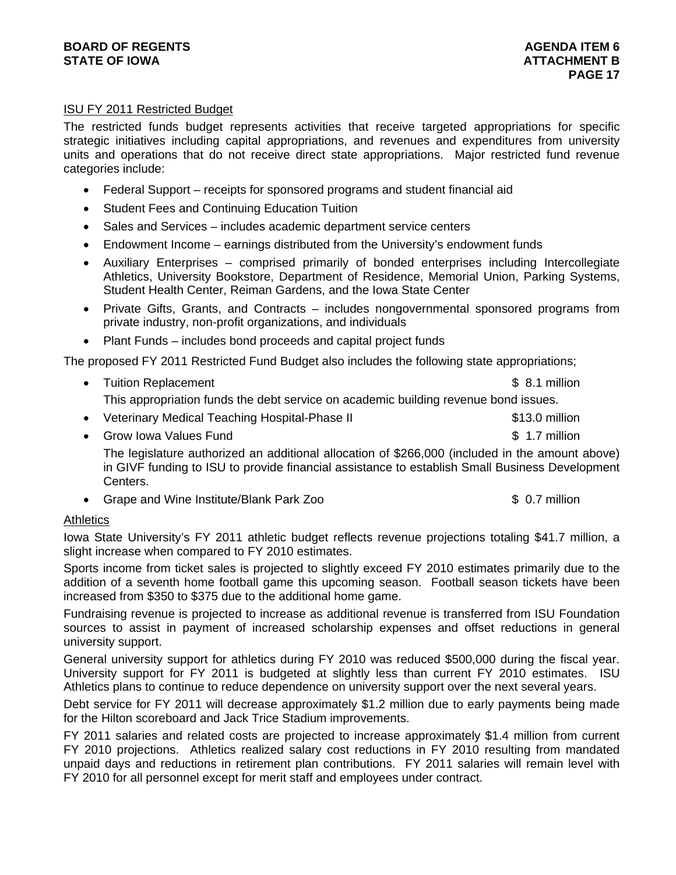# **BOARD OF REGENTS** AGENERATION OF REGENTS AGENERATION OF REGENTS AGENERATION OF REGENTS AGENERATION OF REGENTS AGENERATION OF REGENTS AGENERATION OF REGENTS AGENERATION OF REGENTS AGENERATION OF REGENTS AGENERATION OF REGE **STATE OF IOWA** AND **ATTACHMENT B**

# ISU FY 2011 Restricted Budget

The restricted funds budget represents activities that receive targeted appropriations for specific strategic initiatives including capital appropriations, and revenues and expenditures from university units and operations that do not receive direct state appropriations. Major restricted fund revenue categories include:

- Federal Support receipts for sponsored programs and student financial aid
- Student Fees and Continuing Education Tuition
- Sales and Services includes academic department service centers
- Endowment Income earnings distributed from the University's endowment funds
- Auxiliary Enterprises comprised primarily of bonded enterprises including Intercollegiate Athletics, University Bookstore, Department of Residence, Memorial Union, Parking Systems, Student Health Center, Reiman Gardens, and the Iowa State Center
- Private Gifts, Grants, and Contracts includes nongovernmental sponsored programs from private industry, non-profit organizations, and individuals
- Plant Funds includes bond proceeds and capital project funds

The proposed FY 2011 Restricted Fund Budget also includes the following state appropriations;

- Tuition Replacement **\$ 8.1 million** This appropriation funds the debt service on academic building revenue bond issues.
- Veterinary Medical Teaching Hospital-Phase II \$13.0 million
- Grow Iowa Values Fund **\$ 1.7 million** The legislature authorized an additional allocation of \$266,000 (included in the amount above) in GIVF funding to ISU to provide financial assistance to establish Small Business Development Centers.
- Grape and Wine Institute/Blank Park Zoo  $$ 0.7$  million

# **Athletics**

Iowa State University's FY 2011 athletic budget reflects revenue projections totaling \$41.7 million, a slight increase when compared to FY 2010 estimates.

Sports income from ticket sales is projected to slightly exceed FY 2010 estimates primarily due to the addition of a seventh home football game this upcoming season. Football season tickets have been increased from \$350 to \$375 due to the additional home game.

Fundraising revenue is projected to increase as additional revenue is transferred from ISU Foundation sources to assist in payment of increased scholarship expenses and offset reductions in general university support.

General university support for athletics during FY 2010 was reduced \$500,000 during the fiscal year. University support for FY 2011 is budgeted at slightly less than current FY 2010 estimates. ISU Athletics plans to continue to reduce dependence on university support over the next several years.

Debt service for FY 2011 will decrease approximately \$1.2 million due to early payments being made for the Hilton scoreboard and Jack Trice Stadium improvements.

FY 2011 salaries and related costs are projected to increase approximately \$1.4 million from current FY 2010 projections. Athletics realized salary cost reductions in FY 2010 resulting from mandated unpaid days and reductions in retirement plan contributions. FY 2011 salaries will remain level with FY 2010 for all personnel except for merit staff and employees under contract.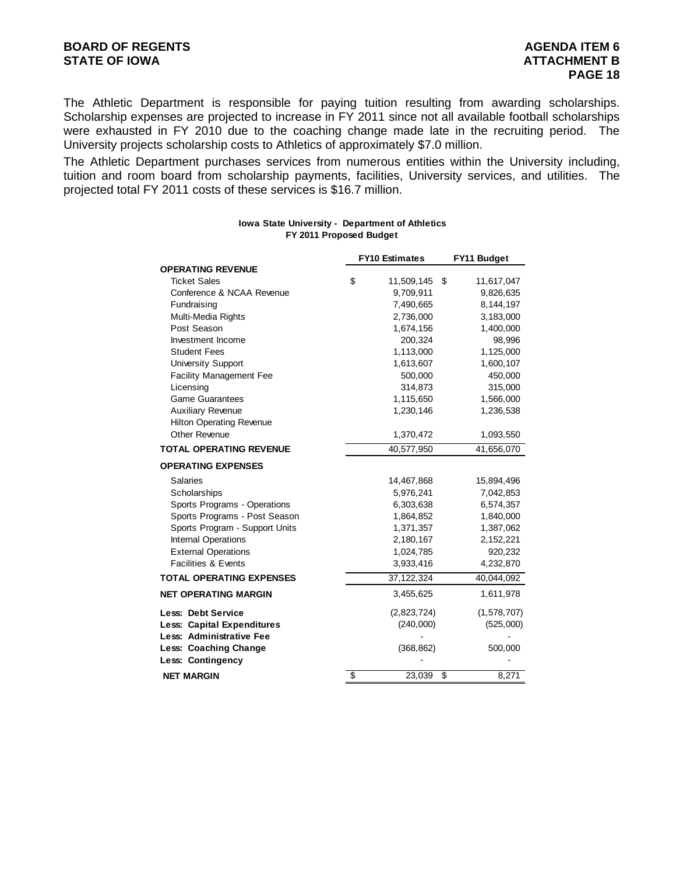The Athletic Department is responsible for paying tuition resulting from awarding scholarships. Scholarship expenses are projected to increase in FY 2011 since not all available football scholarships were exhausted in FY 2010 due to the coaching change made late in the recruiting period. The University projects scholarship costs to Athletics of approximately \$7.0 million.

The Athletic Department purchases services from numerous entities within the University including, tuition and room board from scholarship payments, facilities, University services, and utilities. The projected total FY 2011 costs of these services is \$16.7 million.

|                                 | <b>FY10 Estimates</b> | FY11 Budget      |
|---------------------------------|-----------------------|------------------|
| <b>OPERATING REVENUE</b>        |                       |                  |
| <b>Ticket Sales</b>             | \$<br>11,509,145      | \$<br>11,617,047 |
| Conference & NCAA Revenue       | 9,709,911             | 9,826,635        |
| Fundraising                     | 7,490,665             | 8,144,197        |
| Multi-Media Rights              | 2,736,000             | 3,183,000        |
| Post Season                     | 1,674,156             | 1,400,000        |
| Investment Income               | 200,324               | 98,996           |
| <b>Student Fees</b>             | 1,113,000             | 1,125,000        |
| <b>University Support</b>       | 1,613,607             | 1,600,107        |
| <b>Facility Management Fee</b>  | 500,000               | 450,000          |
| Licensing                       | 314,873               | 315,000          |
| <b>Game Guarantees</b>          | 1,115,650             | 1,566,000        |
| <b>Auxiliary Revenue</b>        | 1,230,146             | 1,236,538        |
| <b>Hilton Operating Revenue</b> |                       |                  |
| <b>Other Revenue</b>            | 1,370,472             | 1,093,550        |
| <b>TOTAL OPERATING REVENUE</b>  | 40,577,950            | 41,656,070       |
| <b>OPERATING EXPENSES</b>       |                       |                  |
| Salaries                        | 14,467,868            | 15,894,496       |
| Scholarships                    | 5,976,241             | 7,042,853        |
| Sports Programs - Operations    | 6,303,638             | 6,574,357        |
| Sports Programs - Post Season   | 1,864,852             | 1,840,000        |
| Sports Program - Support Units  | 1,371,357             | 1,387,062        |
| Internal Operations             | 2,180,167             | 2,152,221        |
| <b>External Operations</b>      | 1,024,785             | 920,232          |
| <b>Facilities &amp; Events</b>  | 3,933,416             | 4,232,870        |
| <b>TOTAL OPERATING EXPENSES</b> | 37, 122, 324          | 40,044,092       |
| <b>NET OPERATING MARGIN</b>     | 3,455,625             | 1,611,978        |
| <b>Less: Debt Service</b>       | (2,823,724)           | (1,578,707)      |
| Less: Capital Expenditures      | (240,000)             | (525,000)        |
| Less: Administrative Fee        |                       |                  |
| Less: Coaching Change           | (368, 862)            | 500,000          |
| Less: Contingency               |                       |                  |
| <b>NET MARGIN</b>               | \$<br>23,039          | \$<br>8,271      |

#### **Iowa State University - Department of Athletics FY 2011 Proposed Budget**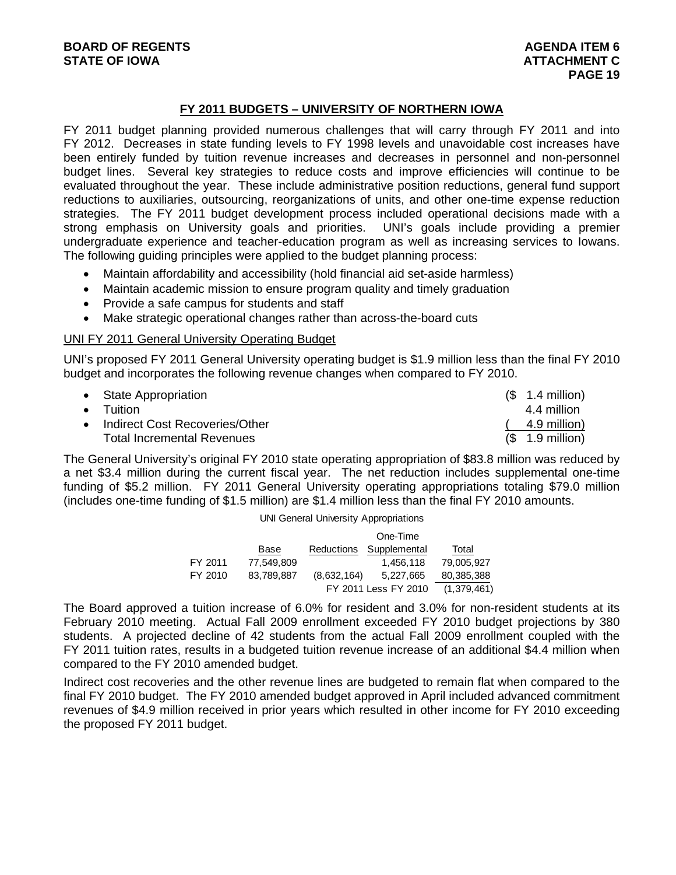# **FY 2011 BUDGETS – UNIVERSITY OF NORTHERN IOWA**

FY 2011 budget planning provided numerous challenges that will carry through FY 2011 and into FY 2012. Decreases in state funding levels to FY 1998 levels and unavoidable cost increases have been entirely funded by tuition revenue increases and decreases in personnel and non-personnel budget lines. Several key strategies to reduce costs and improve efficiencies will continue to be evaluated throughout the year. These include administrative position reductions, general fund support reductions to auxiliaries, outsourcing, reorganizations of units, and other one-time expense reduction strategies. The FY 2011 budget development process included operational decisions made with a strong emphasis on University goals and priorities. UNI's goals include providing a premier undergraduate experience and teacher-education program as well as increasing services to Iowans. The following guiding principles were applied to the budget planning process:

- Maintain affordability and accessibility (hold financial aid set-aside harmless)
- Maintain academic mission to ensure program quality and timely graduation
- Provide a safe campus for students and staff
- Make strategic operational changes rather than across-the-board cuts

# UNI FY 2011 General University Operating Budget

UNI's proposed FY 2011 General University operating budget is \$1.9 million less than the final FY 2010 budget and incorporates the following revenue changes when compared to FY 2010.

| • State Appropriation             | $(S \t1.4 \tmin)$         |
|-----------------------------------|---------------------------|
| $\bullet$ Tuition                 | 4.4 million               |
| • Indirect Cost Recoveries/Other  | 4.9 million)              |
| <b>Total Incremental Revenues</b> | $($ 1.9 \text{ million})$ |

The General University's original FY 2010 state operating appropriation of \$83.8 million was reduced by a net \$3.4 million during the current fiscal year. The net reduction includes supplemental one-time funding of \$5.2 million. FY 2011 General University operating appropriations totaling \$79.0 million (includes one-time funding of \$1.5 million) are \$1.4 million less than the final FY 2010 amounts.

UNI General University Appropriations

|         |            |             | One-Time             |             |
|---------|------------|-------------|----------------------|-------------|
|         | Base       | Reductions  | Supplemental         | Total       |
| FY 2011 | 77.549.809 |             | 1.456.118            | 79,005,927  |
| FY 2010 | 83,789,887 | (8,632,164) | 5.227.665            | 80,385,388  |
|         |            |             | FY 2011 Less FY 2010 | (1,379,461) |

The Board approved a tuition increase of 6.0% for resident and 3.0% for non-resident students at its February 2010 meeting. Actual Fall 2009 enrollment exceeded FY 2010 budget projections by 380 students. A projected decline of 42 students from the actual Fall 2009 enrollment coupled with the FY 2011 tuition rates, results in a budgeted tuition revenue increase of an additional \$4.4 million when compared to the FY 2010 amended budget.

Indirect cost recoveries and the other revenue lines are budgeted to remain flat when compared to the final FY 2010 budget. The FY 2010 amended budget approved in April included advanced commitment revenues of \$4.9 million received in prior years which resulted in other income for FY 2010 exceeding the proposed FY 2011 budget.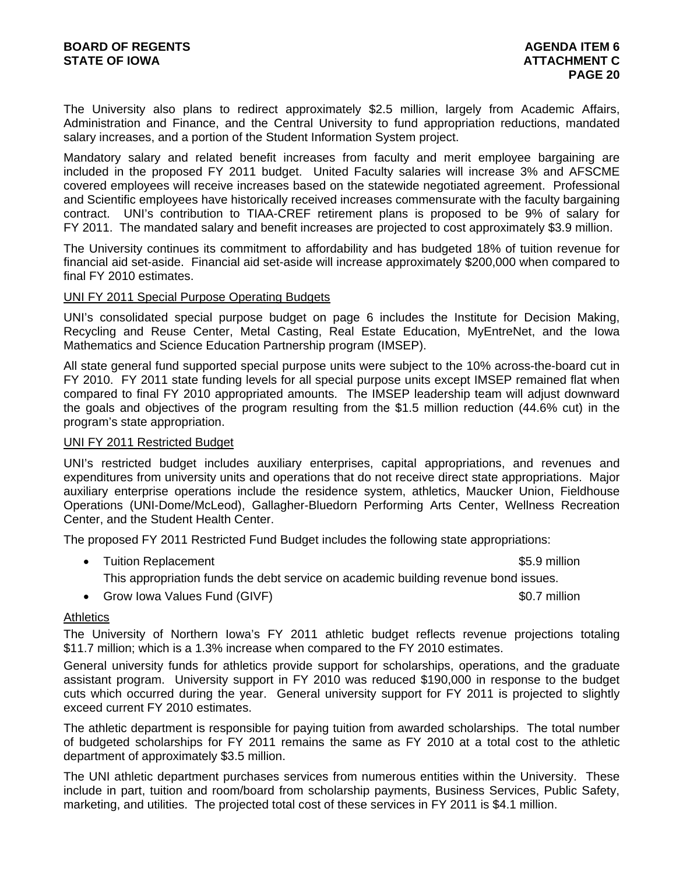The University also plans to redirect approximately \$2.5 million, largely from Academic Affairs, Administration and Finance, and the Central University to fund appropriation reductions, mandated salary increases, and a portion of the Student Information System project.

Mandatory salary and related benefit increases from faculty and merit employee bargaining are included in the proposed FY 2011 budget. United Faculty salaries will increase 3% and AFSCME covered employees will receive increases based on the statewide negotiated agreement. Professional and Scientific employees have historically received increases commensurate with the faculty bargaining contract. UNI's contribution to TIAA-CREF retirement plans is proposed to be 9% of salary for FY 2011. The mandated salary and benefit increases are projected to cost approximately \$3.9 million.

The University continues its commitment to affordability and has budgeted 18% of tuition revenue for financial aid set-aside. Financial aid set-aside will increase approximately \$200,000 when compared to final FY 2010 estimates.

# UNI FY 2011 Special Purpose Operating Budgets

UNI's consolidated special purpose budget on page 6 includes the Institute for Decision Making, Recycling and Reuse Center, Metal Casting, Real Estate Education, MyEntreNet, and the Iowa Mathematics and Science Education Partnership program (IMSEP).

All state general fund supported special purpose units were subject to the 10% across-the-board cut in FY 2010. FY 2011 state funding levels for all special purpose units except IMSEP remained flat when compared to final FY 2010 appropriated amounts. The IMSEP leadership team will adjust downward the goals and objectives of the program resulting from the \$1.5 million reduction (44.6% cut) in the program's state appropriation.

# UNI FY 2011 Restricted Budget

UNI's restricted budget includes auxiliary enterprises, capital appropriations, and revenues and expenditures from university units and operations that do not receive direct state appropriations. Major auxiliary enterprise operations include the residence system, athletics, Maucker Union, Fieldhouse Operations (UNI-Dome/McLeod), Gallagher-Bluedorn Performing Arts Center, Wellness Recreation Center, and the Student Health Center.

The proposed FY 2011 Restricted Fund Budget includes the following state appropriations:

• Tuition Replacement **\$5.9 million \$5.9 million** 

This appropriation funds the debt service on academic building revenue bond issues.

• Grow Iowa Values Fund (GIVF)  $\sim$  60.7 million

# **Athletics**

The University of Northern Iowa's FY 2011 athletic budget reflects revenue projections totaling \$11.7 million; which is a 1.3% increase when compared to the FY 2010 estimates.

General university funds for athletics provide support for scholarships, operations, and the graduate assistant program. University support in FY 2010 was reduced \$190,000 in response to the budget cuts which occurred during the year. General university support for FY 2011 is projected to slightly exceed current FY 2010 estimates.

The athletic department is responsible for paying tuition from awarded scholarships. The total number of budgeted scholarships for FY 2011 remains the same as FY 2010 at a total cost to the athletic department of approximately \$3.5 million.

The UNI athletic department purchases services from numerous entities within the University. These include in part, tuition and room/board from scholarship payments, Business Services, Public Safety, marketing, and utilities. The projected total cost of these services in FY 2011 is \$4.1 million.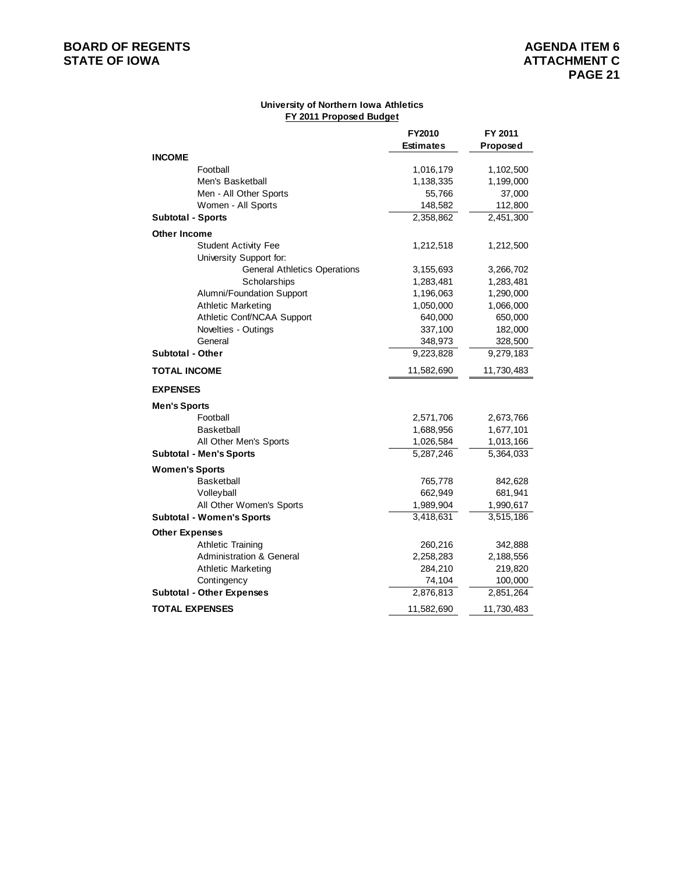# **BOARD OF REGENTS**<br> **BOARD OF REGENTS**<br> **STATE OF IOWA**<br> **ATTACHMENT C**

#### **University of Northern Iowa Athletics FY 2011 Proposed Budget**

|                                     | FY2010           | FY 2011    |
|-------------------------------------|------------------|------------|
|                                     | <b>Estimates</b> | Proposed   |
| <b>INCOME</b>                       |                  |            |
| Football                            | 1,016,179        | 1,102,500  |
| Men's Basketball                    | 1,138,335        | 1,199,000  |
| Men - All Other Sports              | 55,766           | 37,000     |
| Women - All Sports                  | 148,582          | 112,800    |
| <b>Subtotal - Sports</b>            | 2,358,862        | 2,451,300  |
| <b>Other Income</b>                 |                  |            |
| <b>Student Activity Fee</b>         | 1,212,518        | 1,212,500  |
| University Support for:             |                  |            |
| <b>General Athletics Operations</b> | 3,155,693        | 3,266,702  |
| Scholarships                        | 1,283,481        | 1,283,481  |
| Alumni/Foundation Support           | 1,196,063        | 1,290,000  |
| <b>Athletic Marketing</b>           | 1,050,000        | 1,066,000  |
| Athletic Conf/NCAA Support          | 640,000          | 650,000    |
| Novelties - Outings                 | 337,100          | 182,000    |
| General                             | 348,973          | 328,500    |
| <b>Subtotal - Other</b>             | 9,223,828        | 9,279,183  |
| <b>TOTAL INCOME</b>                 | 11,582,690       | 11,730,483 |
| <b>EXPENSES</b>                     |                  |            |
| <b>Men's Sports</b>                 |                  |            |
| Football                            | 2,571,706        | 2,673,766  |
| <b>Basketball</b>                   | 1,688,956        | 1,677,101  |
| All Other Men's Sports              | 1,026,584        | 1,013,166  |
| <b>Subtotal - Men's Sports</b>      | 5,287,246        | 5,364,033  |
| <b>Women's Sports</b>               |                  |            |
| <b>Basketball</b>                   | 765,778          | 842,628    |
| Volleyball                          | 662,949          | 681,941    |
| All Other Women's Sports            | 1,989,904        | 1,990,617  |
| <b>Subtotal - Women's Sports</b>    | 3,418,631        | 3,515,186  |
| <b>Other Expenses</b>               |                  |            |
| <b>Athletic Training</b>            | 260,216          | 342,888    |
| <b>Administration &amp; General</b> | 2,258,283        | 2,188,556  |
| <b>Athletic Marketing</b>           | 284,210          | 219,820    |
| Contingency                         | 74,104           | 100,000    |
| <b>Subtotal - Other Expenses</b>    | 2,876,813        | 2,851,264  |
| <b>TOTAL EXPENSES</b>               | 11,582,690       | 11,730,483 |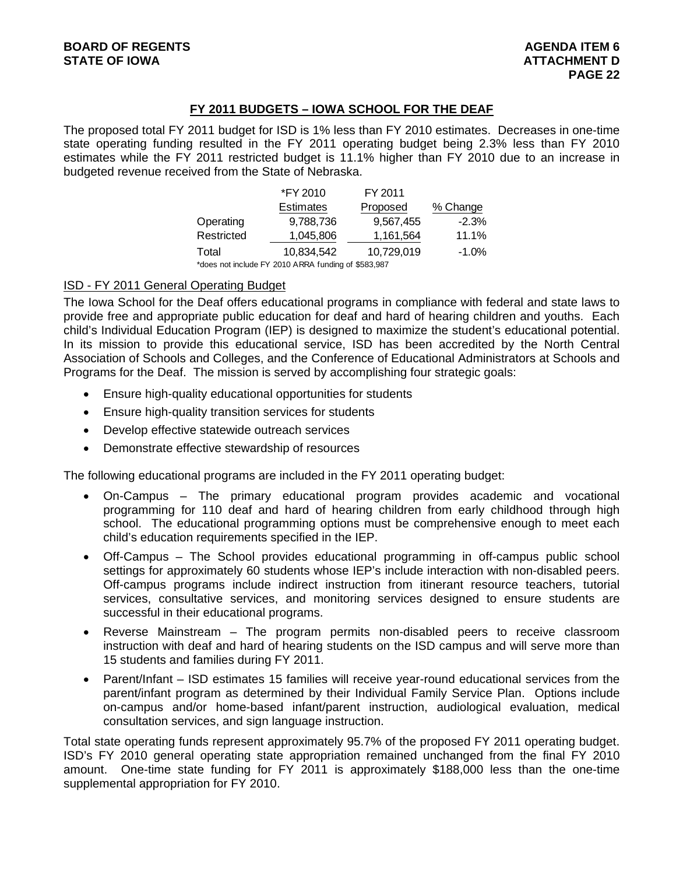# **FY 2011 BUDGETS – IOWA SCHOOL FOR THE DEAF**

The proposed total FY 2011 budget for ISD is 1% less than FY 2010 estimates. Decreases in one-time state operating funding resulted in the FY 2011 operating budget being 2.3% less than FY 2010 estimates while the FY 2011 restricted budget is 11.1% higher than FY 2010 due to an increase in budgeted revenue received from the State of Nebraska.

|                                                     | *FY 2010         | FY 2011    |          |  |  |  |
|-----------------------------------------------------|------------------|------------|----------|--|--|--|
|                                                     | <b>Estimates</b> | Proposed   | % Change |  |  |  |
| Operating                                           | 9,788,736        | 9,567,455  | $-2.3%$  |  |  |  |
| Restricted                                          | 1,045,806        | 1,161,564  | 11.1%    |  |  |  |
| Total                                               | 10,834,542       | 10,729,019 | $-1.0%$  |  |  |  |
| *does not include FY 2010 ARRA funding of \$583,987 |                  |            |          |  |  |  |

ISD - FY 2011 General Operating Budget

The Iowa School for the Deaf offers educational programs in compliance with federal and state laws to provide free and appropriate public education for deaf and hard of hearing children and youths. Each child's Individual Education Program (IEP) is designed to maximize the student's educational potential. In its mission to provide this educational service, ISD has been accredited by the North Central Association of Schools and Colleges, and the Conference of Educational Administrators at Schools and Programs for the Deaf. The mission is served by accomplishing four strategic goals:

- Ensure high-quality educational opportunities for students
- Ensure high-quality transition services for students
- Develop effective statewide outreach services
- Demonstrate effective stewardship of resources

The following educational programs are included in the FY 2011 operating budget:

- On-Campus The primary educational program provides academic and vocational programming for 110 deaf and hard of hearing children from early childhood through high school. The educational programming options must be comprehensive enough to meet each child's education requirements specified in the IEP.
- Off-Campus The School provides educational programming in off-campus public school settings for approximately 60 students whose IEP's include interaction with non-disabled peers. Off-campus programs include indirect instruction from itinerant resource teachers, tutorial services, consultative services, and monitoring services designed to ensure students are successful in their educational programs.
- Reverse Mainstream The program permits non-disabled peers to receive classroom instruction with deaf and hard of hearing students on the ISD campus and will serve more than 15 students and families during FY 2011.
- Parent/Infant ISD estimates 15 families will receive year-round educational services from the parent/infant program as determined by their Individual Family Service Plan. Options include on-campus and/or home-based infant/parent instruction, audiological evaluation, medical consultation services, and sign language instruction.

Total state operating funds represent approximately 95.7% of the proposed FY 2011 operating budget. ISD's FY 2010 general operating state appropriation remained unchanged from the final FY 2010 amount. One-time state funding for FY 2011 is approximately \$188,000 less than the one-time supplemental appropriation for FY 2010.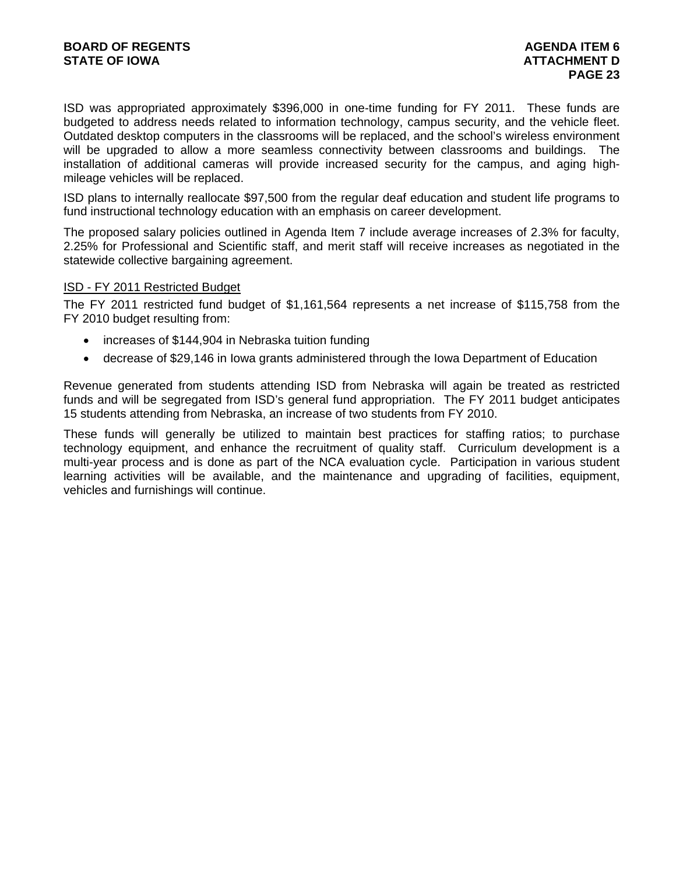ISD was appropriated approximately \$396,000 in one-time funding for FY 2011. These funds are budgeted to address needs related to information technology, campus security, and the vehicle fleet. Outdated desktop computers in the classrooms will be replaced, and the school's wireless environment will be upgraded to allow a more seamless connectivity between classrooms and buildings. The installation of additional cameras will provide increased security for the campus, and aging highmileage vehicles will be replaced.

ISD plans to internally reallocate \$97,500 from the regular deaf education and student life programs to fund instructional technology education with an emphasis on career development.

The proposed salary policies outlined in Agenda Item 7 include average increases of 2.3% for faculty, 2.25% for Professional and Scientific staff, and merit staff will receive increases as negotiated in the statewide collective bargaining agreement.

# ISD - FY 2011 Restricted Budget

The FY 2011 restricted fund budget of \$1,161,564 represents a net increase of \$115,758 from the FY 2010 budget resulting from:

- increases of \$144,904 in Nebraska tuition funding
- decrease of \$29,146 in Iowa grants administered through the Iowa Department of Education

Revenue generated from students attending ISD from Nebraska will again be treated as restricted funds and will be segregated from ISD's general fund appropriation. The FY 2011 budget anticipates 15 students attending from Nebraska, an increase of two students from FY 2010.

These funds will generally be utilized to maintain best practices for staffing ratios; to purchase technology equipment, and enhance the recruitment of quality staff. Curriculum development is a multi-year process and is done as part of the NCA evaluation cycle. Participation in various student learning activities will be available, and the maintenance and upgrading of facilities, equipment, vehicles and furnishings will continue.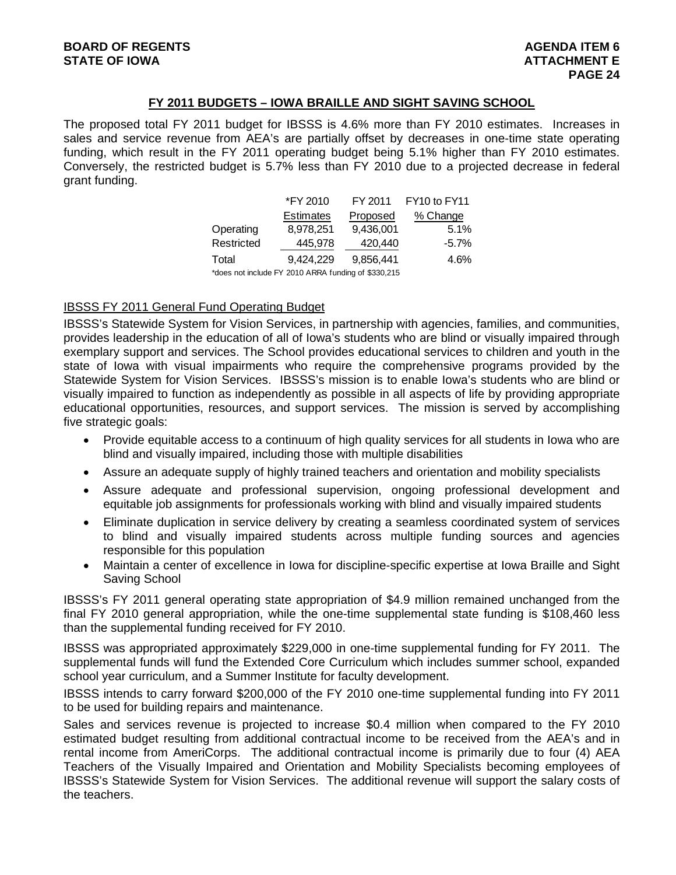# **FY 2011 BUDGETS – IOWA BRAILLE AND SIGHT SAVING SCHOOL**

The proposed total FY 2011 budget for IBSSS is 4.6% more than FY 2010 estimates. Increases in sales and service revenue from AEA's are partially offset by decreases in one-time state operating funding, which result in the FY 2011 operating budget being 5.1% higher than FY 2010 estimates. Conversely, the restricted budget is 5.7% less than FY 2010 due to a projected decrease in federal grant funding.

|            | *FY 2010                                            | FY 2011   |          |
|------------|-----------------------------------------------------|-----------|----------|
|            | <b>Estimates</b>                                    | Proposed  | % Change |
| Operating  | 8,978,251                                           | 9,436,001 | 5.1%     |
| Restricted | 445,978                                             | 420,440   | $-5.7\%$ |
| Total      | 9,424,229                                           | 9.856.441 | 4.6%     |
|            | *does not include FY 2010 ARRA funding of \$330,215 |           |          |

# IBSSS FY 2011 General Fund Operating Budget

IBSSS's Statewide System for Vision Services, in partnership with agencies, families, and communities, provides leadership in the education of all of Iowa's students who are blind or visually impaired through exemplary support and services. The School provides educational services to children and youth in the state of Iowa with visual impairments who require the comprehensive programs provided by the Statewide System for Vision Services. IBSSS's mission is to enable Iowa's students who are blind or visually impaired to function as independently as possible in all aspects of life by providing appropriate educational opportunities, resources, and support services. The mission is served by accomplishing five strategic goals:

- Provide equitable access to a continuum of high quality services for all students in Iowa who are blind and visually impaired, including those with multiple disabilities
- Assure an adequate supply of highly trained teachers and orientation and mobility specialists
- Assure adequate and professional supervision, ongoing professional development and equitable job assignments for professionals working with blind and visually impaired students
- Eliminate duplication in service delivery by creating a seamless coordinated system of services to blind and visually impaired students across multiple funding sources and agencies responsible for this population
- Maintain a center of excellence in Iowa for discipline-specific expertise at Iowa Braille and Sight Saving School

IBSSS's FY 2011 general operating state appropriation of \$4.9 million remained unchanged from the final FY 2010 general appropriation, while the one-time supplemental state funding is \$108,460 less than the supplemental funding received for FY 2010.

IBSSS was appropriated approximately \$229,000 in one-time supplemental funding for FY 2011. The supplemental funds will fund the Extended Core Curriculum which includes summer school, expanded school year curriculum, and a Summer Institute for faculty development.

IBSSS intends to carry forward \$200,000 of the FY 2010 one-time supplemental funding into FY 2011 to be used for building repairs and maintenance.

Sales and services revenue is projected to increase \$0.4 million when compared to the FY 2010 estimated budget resulting from additional contractual income to be received from the AEA's and in rental income from AmeriCorps. The additional contractual income is primarily due to four (4) AEA Teachers of the Visually Impaired and Orientation and Mobility Specialists becoming employees of IBSSS's Statewide System for Vision Services. The additional revenue will support the salary costs of the teachers.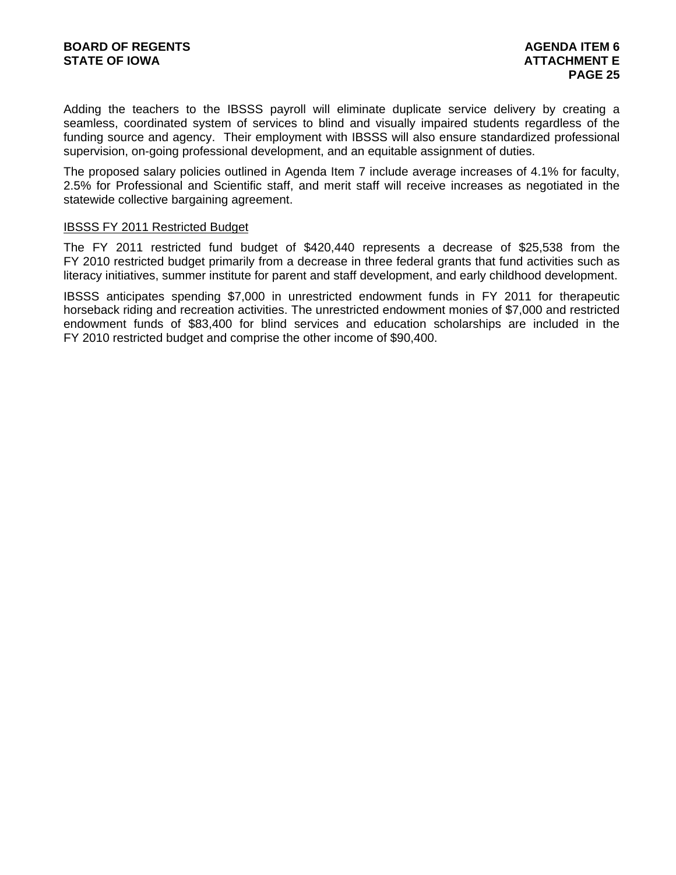Adding the teachers to the IBSSS payroll will eliminate duplicate service delivery by creating a seamless, coordinated system of services to blind and visually impaired students regardless of the funding source and agency. Their employment with IBSSS will also ensure standardized professional supervision, on-going professional development, and an equitable assignment of duties.

The proposed salary policies outlined in Agenda Item 7 include average increases of 4.1% for faculty, 2.5% for Professional and Scientific staff, and merit staff will receive increases as negotiated in the statewide collective bargaining agreement.

### IBSSS FY 2011 Restricted Budget

The FY 2011 restricted fund budget of \$420,440 represents a decrease of \$25,538 from the FY 2010 restricted budget primarily from a decrease in three federal grants that fund activities such as literacy initiatives, summer institute for parent and staff development, and early childhood development.

IBSSS anticipates spending \$7,000 in unrestricted endowment funds in FY 2011 for therapeutic horseback riding and recreation activities. The unrestricted endowment monies of \$7,000 and restricted endowment funds of \$83,400 for blind services and education scholarships are included in the FY 2010 restricted budget and comprise the other income of \$90,400.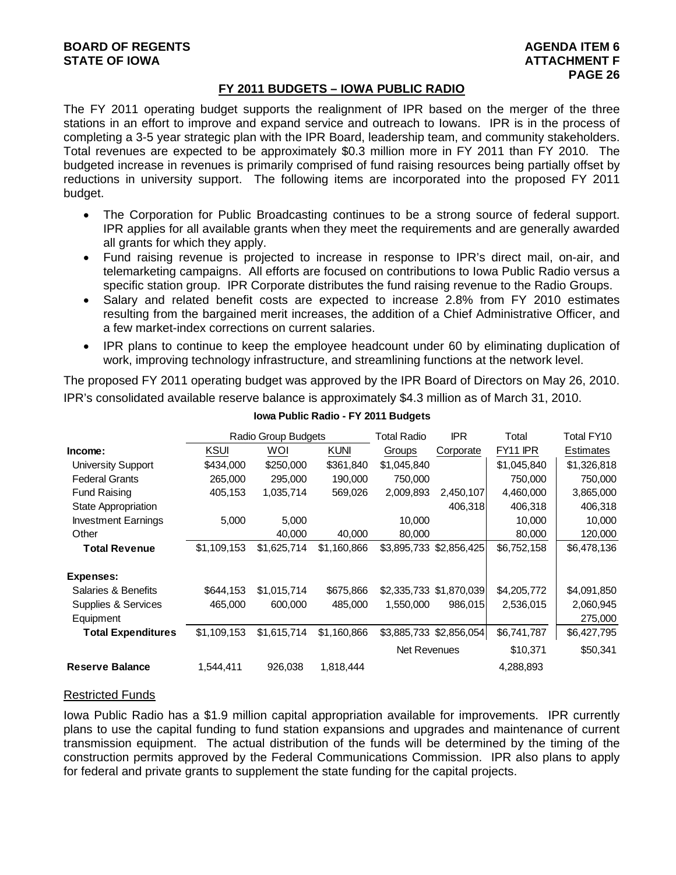# **FY 2011 BUDGETS – IOWA PUBLIC RADIO**

The FY 2011 operating budget supports the realignment of IPR based on the merger of the three stations in an effort to improve and expand service and outreach to Iowans. IPR is in the process of completing a 3-5 year strategic plan with the IPR Board, leadership team, and community stakeholders. Total revenues are expected to be approximately \$0.3 million more in FY 2011 than FY 2010. The budgeted increase in revenues is primarily comprised of fund raising resources being partially offset by reductions in university support. The following items are incorporated into the proposed FY 2011 budget.

- The Corporation for Public Broadcasting continues to be a strong source of federal support. IPR applies for all available grants when they meet the requirements and are generally awarded all grants for which they apply.
- Fund raising revenue is projected to increase in response to IPR's direct mail, on-air, and telemarketing campaigns. All efforts are focused on contributions to Iowa Public Radio versus a specific station group. IPR Corporate distributes the fund raising revenue to the Radio Groups.
- Salary and related benefit costs are expected to increase 2.8% from FY 2010 estimates resulting from the bargained merit increases, the addition of a Chief Administrative Officer, and a few market-index corrections on current salaries.
- IPR plans to continue to keep the employee headcount under 60 by eliminating duplication of work, improving technology infrastructure, and streamlining functions at the network level.

The proposed FY 2011 operating budget was approved by the IPR Board of Directors on May 26, 2010. IPR's consolidated available reserve balance is approximately \$4.3 million as of March 31, 2010.

|                            |             | <b>Radio Group Budgets</b> |             | Total Radio  | <b>IPR</b>              | Total                | Total FY10       |
|----------------------------|-------------|----------------------------|-------------|--------------|-------------------------|----------------------|------------------|
| Income:                    | <b>KSUI</b> | WOI                        | <b>KUNI</b> | Groups       | Corporate               | FY <sub>11</sub> IPR | <b>Estimates</b> |
| <b>University Support</b>  | \$434,000   | \$250,000                  | \$361,840   | \$1,045,840  |                         | \$1,045,840          | \$1,326,818      |
| <b>Federal Grants</b>      | 265,000     | 295,000                    | 190,000     | 750,000      |                         | 750,000              | 750,000          |
| <b>Fund Raising</b>        | 405,153     | 1,035,714                  | 569,026     | 2,009,893    | 2,450,107               | 4,460,000            | 3,865,000        |
| State Appropriation        |             |                            |             |              | 406,318                 | 406,318              | 406,318          |
| <b>Investment Earnings</b> | 5,000       | 5,000                      |             | 10,000       |                         | 10,000               | 10,000           |
| Other                      |             | 40,000                     | 40.000      | 80,000       |                         | 80,000               | 120,000          |
| <b>Total Revenue</b>       | \$1,109,153 | \$1,625,714                | \$1,160,866 |              | \$3,895,733 \$2,856,425 | \$6,752,158          | \$6,478,136      |
| Expenses:                  |             |                            |             |              |                         |                      |                  |
| Salaries & Benefits        | \$644,153   | \$1,015,714                | \$675,866   |              | \$2,335,733 \$1,870,039 | \$4,205,772          | \$4,091,850      |
| Supplies & Services        | 465,000     | 600,000                    | 485,000     | 1,550,000    | 986,015                 | 2,536,015            | 2,060,945        |
| Equipment                  |             |                            |             |              |                         |                      | 275,000          |
| <b>Total Expenditures</b>  | \$1,109,153 | \$1,615,714                | \$1,160,866 |              | \$3,885,733 \$2,856,054 | \$6,741,787          | \$6,427,795      |
|                            |             |                            |             | Net Revenues |                         | \$10,371             | \$50,341         |
| <b>Reserve Balance</b>     | 1,544,411   | 926,038                    | 1,818,444   |              |                         | 4,288,893            |                  |

#### **Iowa Public Radio - FY 2011 Budgets**

# Restricted Funds

Iowa Public Radio has a \$1.9 million capital appropriation available for improvements. IPR currently plans to use the capital funding to fund station expansions and upgrades and maintenance of current transmission equipment. The actual distribution of the funds will be determined by the timing of the construction permits approved by the Federal Communications Commission. IPR also plans to apply for federal and private grants to supplement the state funding for the capital projects.